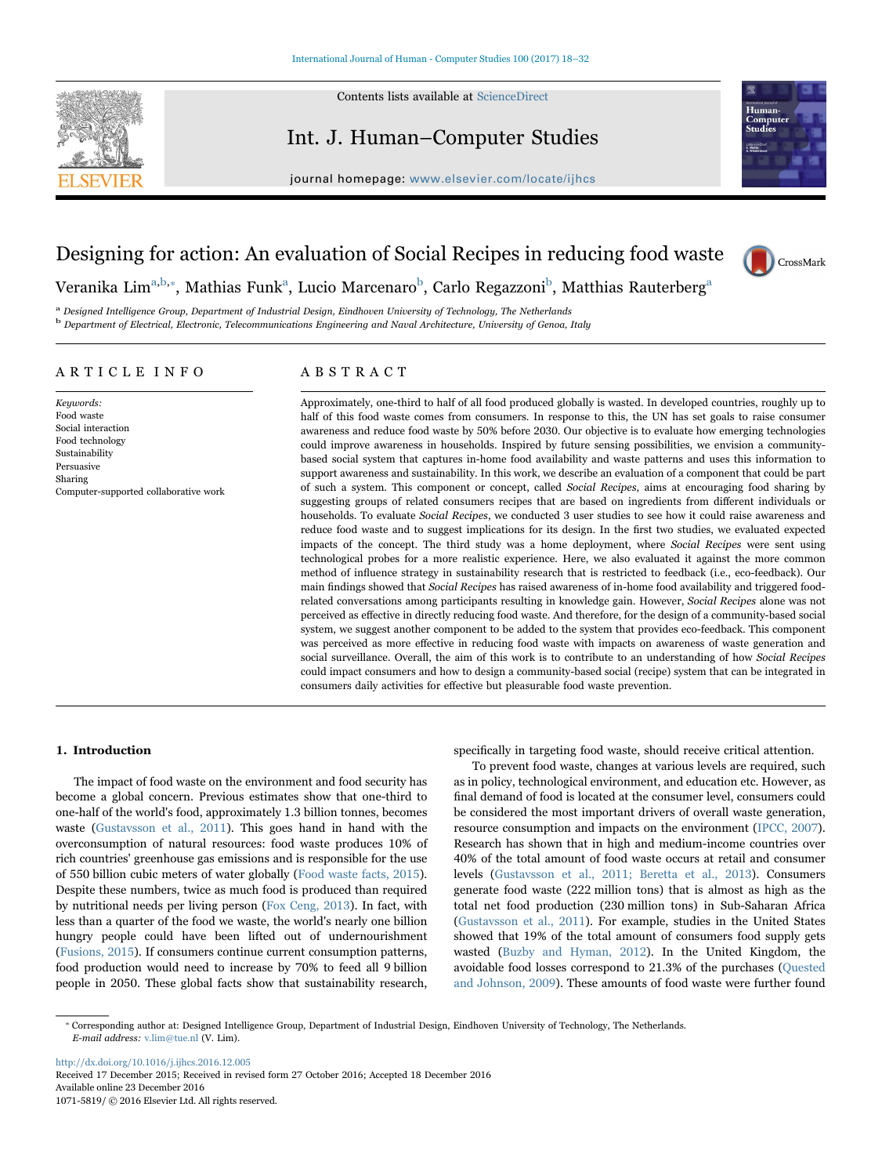

Contents lists available at [ScienceDirect](http://www.sciencedirect.com/science/journal/10715819)

# Int. J. Human–Computer Studies



# journal homepage: [www.elsevier.com/locate/ijhcs](http://www.elsevier.com/locate/ijhcs)

# Designing for action: An evaluation of Social Recipes in reducing food waste



Ver[a](#page-0-0)nika Lim $^{\mathrm{a,b,*}},$  $^{\mathrm{a,b,*}},$  $^{\mathrm{a,b,*}},$  $^{\mathrm{a,b,*}},$  Mathias Funk $^{\mathrm{a}},$  Lucio Marcenaro $^{\mathrm{b}},$  Carlo Regazzoni $^{\mathrm{b}},$  Matthias Rauterberg $^{\mathrm{a}}$ 

<span id="page-0-1"></span><span id="page-0-0"></span><sup>a</sup> Designed Intelligence Group, Department of Industrial Design, Eindhoven University of Technology, The Netherlands <sup>b</sup> Department of Electrical, Electronic, Telecommunications Engineering and Naval Architecture, University of Genoa, Italy

# ARTICLE INFO

Keywords: Food waste Social interaction Food technology Sustainability Persuasive Sharing Computer-supported collaborative work

# ABSTRACT

Approximately, one-third to half of all food produced globally is wasted. In developed countries, roughly up to half of this food waste comes from consumers. In response to this, the UN has set goals to raise consumer awareness and reduce food waste by 50% before 2030. Our objective is to evaluate how emerging technologies could improve awareness in households. Inspired by future sensing possibilities, we envision a communitybased social system that captures in-home food availability and waste patterns and uses this information to support awareness and sustainability. In this work, we describe an evaluation of a component that could be part of such a system. This component or concept, called Social Recipes, aims at encouraging food sharing by suggesting groups of related consumers recipes that are based on ingredients from different individuals or households. To evaluate Social Recipes, we conducted 3 user studies to see how it could raise awareness and reduce food waste and to suggest implications for its design. In the first two studies, we evaluated expected impacts of the concept. The third study was a home deployment, where Social Recipes were sent using technological probes for a more realistic experience. Here, we also evaluated it against the more common method of influence strategy in sustainability research that is restricted to feedback (i.e., eco-feedback). Our main findings showed that Social Recipes has raised awareness of in-home food availability and triggered foodrelated conversations among participants resulting in knowledge gain. However, Social Recipes alone was not perceived as effective in directly reducing food waste. And therefore, for the design of a community-based social system, we suggest another component to be added to the system that provides eco-feedback. This component was perceived as more effective in reducing food waste with impacts on awareness of waste generation and social surveillance. Overall, the aim of this work is to contribute to an understanding of how Social Recipes could impact consumers and how to design a community-based social (recipe) system that can be integrated in consumers daily activities for effective but pleasurable food waste prevention.

#### 1. Introduction

The impact of food waste on the environment and food security has become a global concern. Previous estimates show that one-third to one-half of the world's food, approximately 1.3 billion tonnes, becomes waste ([Gustavsson et al., 2011](#page-14-0)). This goes hand in hand with the overconsumption of natural resources: food waste produces 10% of rich countries' greenhouse gas emissions and is responsible for the use of 550 billion cubic meters of water globally [\(Food waste facts, 2015\)](#page-14-1). Despite these numbers, twice as much food is produced than required by nutritional needs per living person ([Fox Ceng, 2013](#page-14-2)). In fact, with less than a quarter of the food we waste, the world's nearly one billion hungry people could have been lifted out of undernourishment ([Fusions, 2015\)](#page-14-3). If consumers continue current consumption patterns, food production would need to increase by 70% to feed all 9 billion people in 2050. These global facts show that sustainability research,

specifically in targeting food waste, should receive critical attention.

To prevent food waste, changes at various levels are required, such as in policy, technological environment, and education etc. However, as final demand of food is located at the consumer level, consumers could be considered the most important drivers of overall waste generation, resource consumption and impacts on the environment ([IPCC, 2007\)](#page-14-4). Research has shown that in high and medium-income countries over 40% of the total amount of food waste occurs at retail and consumer levels [\(Gustavsson et al., 2011; Beretta et al., 2013\)](#page-14-0). Consumers generate food waste (222 million tons) that is almost as high as the total net food production (230 million tons) in Sub-Saharan Africa ([Gustavsson et al., 2011](#page-14-0)). For example, studies in the United States showed that 19% of the total amount of consumers food supply gets wasted [\(Buzby and Hyman, 2012\)](#page-13-0). In the United Kingdom, the avoidable food losses correspond to 21.3% of the purchases ([Quested](#page-14-5) [and Johnson, 2009](#page-14-5)). These amounts of food waste were further found

<http://dx.doi.org/10.1016/j.ijhcs.2016.12.005>

Received 17 December 2015; Received in revised form 27 October 2016; Accepted 18 December 2016 Available online 23 December 2016 1071-5819/ © 2016 Elsevier Ltd. All rights reserved.

<span id="page-0-2"></span><sup>⁎</sup> Corresponding author at: Designed Intelligence Group, Department of Industrial Design, Eindhoven University of Technology, The Netherlands. E-mail address: v.lim@tue.nl (V. Lim).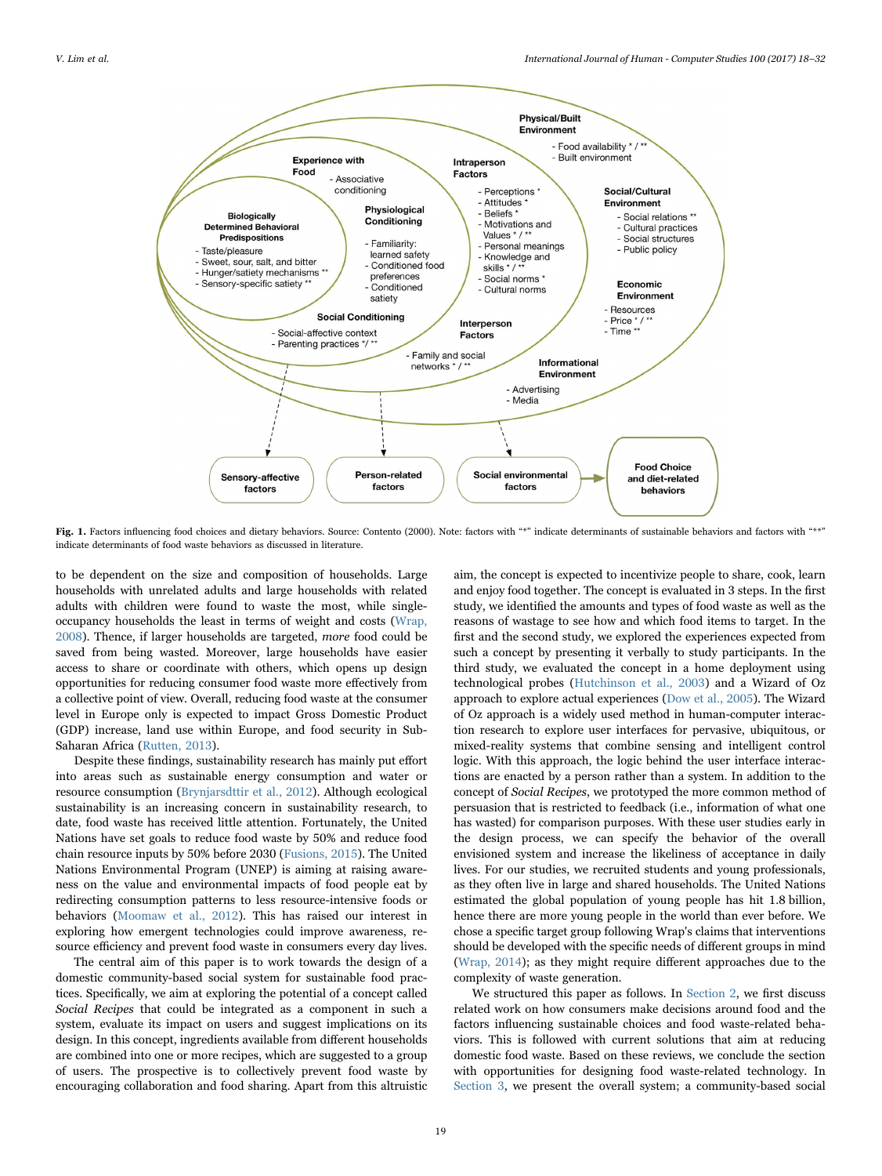<span id="page-1-0"></span>

Fig. 1. Factors influencing food choices and dietary behaviors. Source: Contento (2000). Note: factors with "\*" indicate determinants of sustainable behaviors and factors with "\*\*" indicate determinants of food waste behaviors as discussed in literature.

to be dependent on the size and composition of households. Large households with unrelated adults and large households with related adults with children were found to waste the most, while singleoccupancy households the least in terms of weight and costs ([Wrap,](#page-14-6) [2008\)](#page-14-6). Thence, if larger households are targeted, more food could be saved from being wasted. Moreover, large households have easier access to share or coordinate with others, which opens up design opportunities for reducing consumer food waste more effectively from a collective point of view. Overall, reducing food waste at the consumer level in Europe only is expected to impact Gross Domestic Product (GDP) increase, land use within Europe, and food security in Sub-Saharan Africa [\(Rutten, 2013](#page-14-7)).

Despite these findings, sustainability research has mainly put effort into areas such as sustainable energy consumption and water or resource consumption [\(Brynjarsdttir et al., 2012](#page-13-1)). Although ecological sustainability is an increasing concern in sustainability research, to date, food waste has received little attention. Fortunately, the United Nations have set goals to reduce food waste by 50% and reduce food chain resource inputs by 50% before 2030 ([Fusions, 2015\)](#page-14-3). The United Nations Environmental Program (UNEP) is aiming at raising awareness on the value and environmental impacts of food people eat by redirecting consumption patterns to less resource-intensive foods or behaviors [\(Moomaw et al., 2012](#page-14-8)). This has raised our interest in exploring how emergent technologies could improve awareness, resource efficiency and prevent food waste in consumers every day lives.

The central aim of this paper is to work towards the design of a domestic community-based social system for sustainable food practices. Specifically, we aim at exploring the potential of a concept called Social Recipes that could be integrated as a component in such a system, evaluate its impact on users and suggest implications on its design. In this concept, ingredients available from different households are combined into one or more recipes, which are suggested to a group of users. The prospective is to collectively prevent food waste by encouraging collaboration and food sharing. Apart from this altruistic

aim, the concept is expected to incentivize people to share, cook, learn and enjoy food together. The concept is evaluated in 3 steps. In the first study, we identified the amounts and types of food waste as well as the reasons of wastage to see how and which food items to target. In the first and the second study, we explored the experiences expected from such a concept by presenting it verbally to study participants. In the third study, we evaluated the concept in a home deployment using technological probes ([Hutchinson et al., 2003](#page-14-9)) and a Wizard of Oz approach to explore actual experiences [\(Dow et al., 2005\)](#page-14-10). The Wizard of Oz approach is a widely used method in human-computer interaction research to explore user interfaces for pervasive, ubiquitous, or mixed-reality systems that combine sensing and intelligent control logic. With this approach, the logic behind the user interface interactions are enacted by a person rather than a system. In addition to the concept of Social Recipes, we prototyped the more common method of persuasion that is restricted to feedback (i.e., information of what one has wasted) for comparison purposes. With these user studies early in the design process, we can specify the behavior of the overall envisioned system and increase the likeliness of acceptance in daily lives. For our studies, we recruited students and young professionals, as they often live in large and shared households. The United Nations estimated the global population of young people has hit 1.8 billion, hence there are more young people in the world than ever before. We chose a specific target group following Wrap's claims that interventions should be developed with the specific needs of different groups in mind ([Wrap, 2014\)](#page-14-11); as they might require different approaches due to the complexity of waste generation.

We structured this paper as follows. In [Section 2](#page-2-0), we first discuss related work on how consumers make decisions around food and the factors influencing sustainable choices and food waste-related behaviors. This is followed with current solutions that aim at reducing domestic food waste. Based on these reviews, we conclude the section with opportunities for designing food waste-related technology. In [Section 3,](#page-3-0) we present the overall system; a community-based social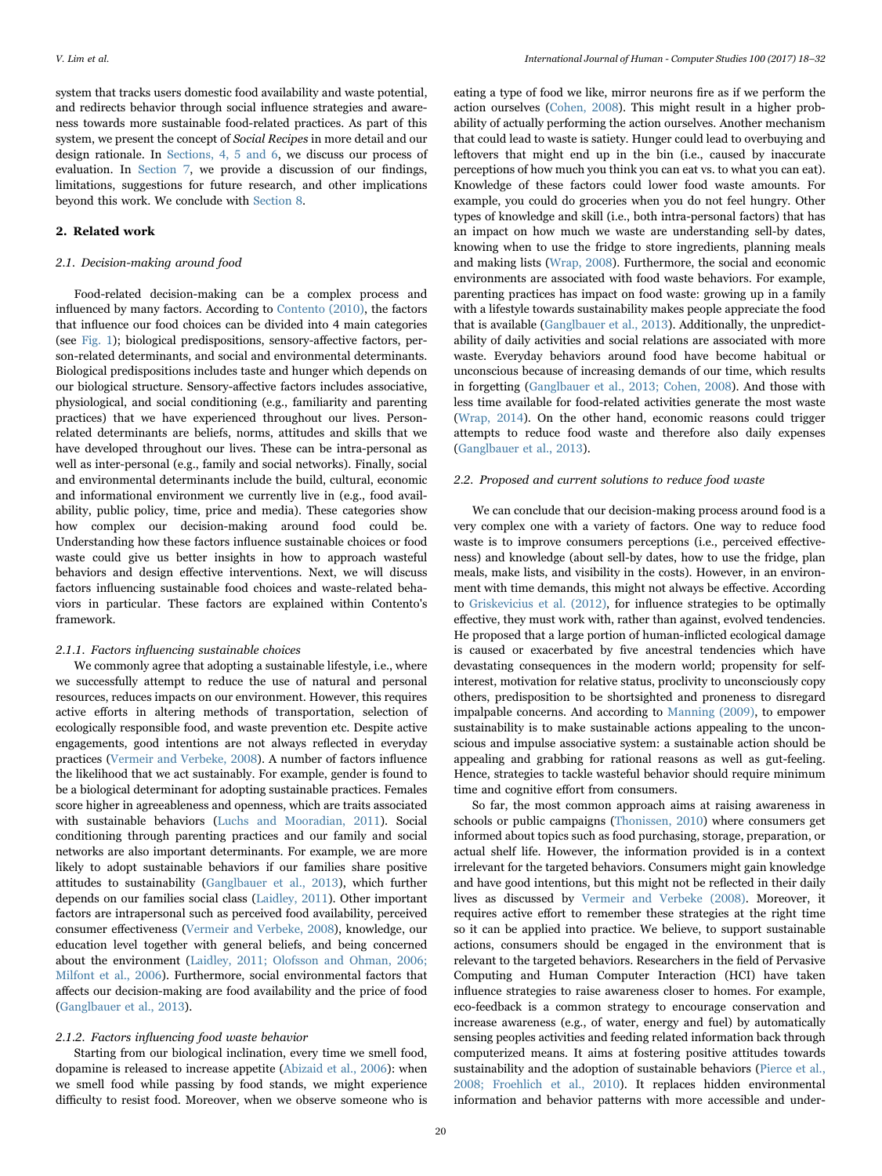system that tracks users domestic food availability and waste potential, and redirects behavior through social influence strategies and awareness towards more sustainable food-related practices. As part of this system, we present the concept of Social Recipes in more detail and our design rationale. In [Sections, 4, 5 and 6,](#page-5-0) we discuss our process of evaluation. In [Section 7](#page-12-0), we provide a discussion of our findings, limitations, suggestions for future research, and other implications beyond this work. We conclude with [Section 8](#page-13-2).

# <span id="page-2-0"></span>2. Related work

#### 2.1. Decision-making around food

Food-related decision-making can be a complex process and influenced by many factors. According to [Contento \(2010\)](#page-14-12), the factors that influence our food choices can be divided into 4 main categories (see [Fig. 1](#page-1-0)); biological predispositions, sensory-affective factors, person-related determinants, and social and environmental determinants. Biological predispositions includes taste and hunger which depends on our biological structure. Sensory-affective factors includes associative, physiological, and social conditioning (e.g., familiarity and parenting practices) that we have experienced throughout our lives. Personrelated determinants are beliefs, norms, attitudes and skills that we have developed throughout our lives. These can be intra-personal as well as inter-personal (e.g., family and social networks). Finally, social and environmental determinants include the build, cultural, economic and informational environment we currently live in (e.g., food availability, public policy, time, price and media). These categories show how complex our decision-making around food could be. Understanding how these factors influence sustainable choices or food waste could give us better insights in how to approach wasteful behaviors and design effective interventions. Next, we will discuss factors influencing sustainable food choices and waste-related behaviors in particular. These factors are explained within Contento's framework.

#### 2.1.1. Factors influencing sustainable choices

We commonly agree that adopting a sustainable lifestyle, i.e., where we successfully attempt to reduce the use of natural and personal resources, reduces impacts on our environment. However, this requires active efforts in altering methods of transportation, selection of ecologically responsible food, and waste prevention etc. Despite active engagements, good intentions are not always reflected in everyday practices ([Vermeir and Verbeke, 2008\)](#page-14-13). A number of factors influence the likelihood that we act sustainably. For example, gender is found to be a biological determinant for adopting sustainable practices. Females score higher in agreeableness and openness, which are traits associated with sustainable behaviors ([Luchs and Mooradian, 2011\)](#page-14-14). Social conditioning through parenting practices and our family and social networks are also important determinants. For example, we are more likely to adopt sustainable behaviors if our families share positive attitudes to sustainability [\(Ganglbauer et al., 2013\)](#page-14-15), which further depends on our families social class [\(Laidley, 2011\)](#page-14-16). Other important factors are intrapersonal such as perceived food availability, perceived consumer effectiveness ([Vermeir and Verbeke, 2008\)](#page-14-13), knowledge, our education level together with general beliefs, and being concerned about the environment ([Laidley, 2011; Olofsson and Ohman, 2006;](#page-14-16) Milfont [et al., 2006](#page-14-16)). Furthermore, social environmental factors that affects our decision-making are food availability and the price of food ([Ganglbauer et al., 2013\)](#page-14-15).

#### 2.1.2. Factors influencing food waste behavior

Starting from our biological inclination, every time we smell food, dopamine is released to increase appetite ([Abizaid et al., 2006](#page-13-3)): when we smell food while passing by food stands, we might experience difficulty to resist food. Moreover, when we observe someone who is

eating a type of food we like, mirror neurons fire as if we perform the action ourselves [\(Cohen, 2008\)](#page-14-17). This might result in a higher probability of actually performing the action ourselves. Another mechanism that could lead to waste is satiety. Hunger could lead to overbuying and leftovers that might end up in the bin (i.e., caused by inaccurate perceptions of how much you think you can eat vs. to what you can eat). Knowledge of these factors could lower food waste amounts. For example, you could do groceries when you do not feel hungry. Other types of knowledge and skill (i.e., both intra-personal factors) that has an impact on how much we waste are understanding sell-by dates, knowing when to use the fridge to store ingredients, planning meals and making lists [\(Wrap, 2008\)](#page-14-6). Furthermore, the social and economic environments are associated with food waste behaviors. For example, parenting practices has impact on food waste: growing up in a family with a lifestyle towards sustainability makes people appreciate the food that is available ([Ganglbauer et al., 2013](#page-14-15)). Additionally, the unpredictability of daily activities and social relations are associated with more waste. Everyday behaviors around food have become habitual or unconscious because of increasing demands of our time, which results in forgetting [\(Ganglbauer et al., 2013; Cohen, 2008](#page-14-15)). And those with less time available for food-related activities generate the most waste ([Wrap, 2014\)](#page-14-11). On the other hand, economic reasons could trigger attempts to reduce food waste and therefore also daily expenses ([Ganglbauer et al., 2013\)](#page-14-15).

#### 2.2. Proposed and current solutions to reduce food waste

We can conclude that our decision-making process around food is a very complex one with a variety of factors. One way to reduce food waste is to improve consumers perceptions (i.e., perceived effectiveness) and knowledge (about sell-by dates, how to use the fridge, plan meals, make lists, and visibility in the costs). However, in an environment with time demands, this might not always be effective. According to [Griskevicius et al. \(2012\),](#page-14-18) for influence strategies to be optimally effective, they must work with, rather than against, evolved tendencies. He proposed that a large portion of human-inflicted ecological damage is caused or exacerbated by five ancestral tendencies which have devastating consequences in the modern world; propensity for selfinterest, motivation for relative status, proclivity to unconsciously copy others, predisposition to be shortsighted and proneness to disregard impalpable concerns. And according to [Manning \(2009\),](#page-14-19) to empower sustainability is to make sustainable actions appealing to the unconscious and impulse associative system: a sustainable action should be appealing and grabbing for rational reasons as well as gut-feeling. Hence, strategies to tackle wasteful behavior should require minimum time and cognitive effort from consumers.

So far, the most common approach aims at raising awareness in schools or public campaigns [\(Thonissen, 2010\)](#page-14-20) where consumers get informed about topics such as food purchasing, storage, preparation, or actual shelf life. However, the information provided is in a context irrelevant for the targeted behaviors. Consumers might gain knowledge and have good intentions, but this might not be reflected in their daily lives as discussed by [Vermeir and Verbeke \(2008\).](#page-14-13) Moreover, it requires active effort to remember these strategies at the right time so it can be applied into practice. We believe, to support sustainable actions, consumers should be engaged in the environment that is relevant to the targeted behaviors. Researchers in the field of Pervasive Computing and Human Computer Interaction (HCI) have taken influence strategies to raise awareness closer to homes. For example, eco-feedback is a common strategy to encourage conservation and increase awareness (e.g., of water, energy and fuel) by automatically sensing peoples activities and feeding related information back through computerized means. It aims at fostering positive attitudes towards sustainability and the adoption of sustainable behaviors [\(Pierce et al.,](#page-14-21) [2008; Froehlich et al., 2010\)](#page-14-21). It replaces hidden environmental information and behavior patterns with more accessible and under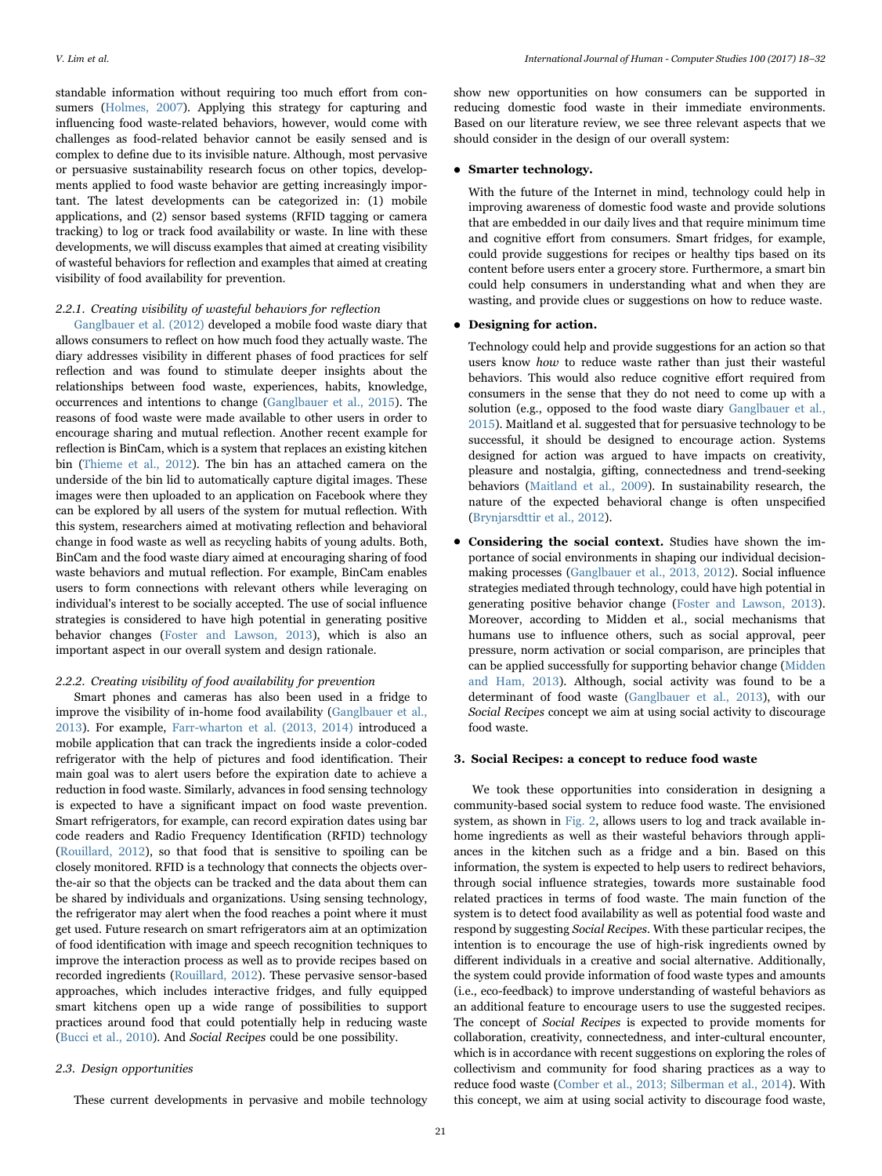V. Lim et al. *International Journal of Human - Computer Studies 100 (2017) 18–32*

standable information without requiring too much effort from consumers [\(Holmes, 2007\)](#page-14-22). Applying this strategy for capturing and influencing food waste-related behaviors, however, would come with challenges as food-related behavior cannot be easily sensed and is complex to define due to its invisible nature. Although, most pervasive or persuasive sustainability research focus on other topics, developments applied to food waste behavior are getting increasingly important. The latest developments can be categorized in: (1) mobile applications, and (2) sensor based systems (RFID tagging or camera tracking) to log or track food availability or waste. In line with these developments, we will discuss examples that aimed at creating visibility of wasteful behaviors for reflection and examples that aimed at creating visibility of food availability for prevention.

# 2.2.1. Creating visibility of wasteful behaviors for reflection

[Ganglbauer et al. \(2012\)](#page-14-23) developed a mobile food waste diary that allows consumers to reflect on how much food they actually waste. The diary addresses visibility in different phases of food practices for self reflection and was found to stimulate deeper insights about the relationships between food waste, experiences, habits, knowledge, occurrences and intentions to change ([Ganglbauer et al., 2015\)](#page-14-24). The reasons of food waste were made available to other users in order to encourage sharing and mutual reflection. Another recent example for reflection is BinCam, which is a system that replaces an existing kitchen bin [\(Thieme et al., 2012\)](#page-14-25). The bin has an attached camera on the underside of the bin lid to automatically capture digital images. These images were then uploaded to an application on Facebook where they can be explored by all users of the system for mutual reflection. With this system, researchers aimed at motivating reflection and behavioral change in food waste as well as recycling habits of young adults. Both, BinCam and the food waste diary aimed at encouraging sharing of food waste behaviors and mutual reflection. For example, BinCam enables users to form connections with relevant others while leveraging on individual's interest to be socially accepted. The use of social influence strategies is considered to have high potential in generating positive behavior changes [\(Foster and Lawson, 2013](#page-14-26)), which is also an important aspect in our overall system and design rationale.

# 2.2.2. Creating visibility of food availability for prevention

Smart phones and cameras has also been used in a fridge to improve the visibility of in-home food availability [\(Ganglbauer et al.,](#page-14-15) [2013\)](#page-14-15). For example, [Farr-wharton et al. \(2013, 2014\)](#page-14-27) introduced a mobile application that can track the ingredients inside a color-coded refrigerator with the help of pictures and food identification. Their main goal was to alert users before the expiration date to achieve a reduction in food waste. Similarly, advances in food sensing technology is expected to have a significant impact on food waste prevention. Smart refrigerators, for example, can record expiration dates using bar code readers and Radio Frequency Identification (RFID) technology ([Rouillard, 2012](#page-14-28)), so that food that is sensitive to spoiling can be closely monitored. RFID is a technology that connects the objects overthe-air so that the objects can be tracked and the data about them can be shared by individuals and organizations. Using sensing technology, the refrigerator may alert when the food reaches a point where it must get used. Future research on smart refrigerators aim at an optimization of food identification with image and speech recognition techniques to improve the interaction process as well as to provide recipes based on recorded ingredients ([Rouillard, 2012](#page-14-28)). These pervasive sensor-based approaches, which includes interactive fridges, and fully equipped smart kitchens open up a wide range of possibilities to support practices around food that could potentially help in reducing waste ([Bucci et al., 2010](#page-13-4)). And Social Recipes could be one possibility.

#### 2.3. Design opportunities

These current developments in pervasive and mobile technology

show new opportunities on how consumers can be supported in

#### • Smarter technology.

With the future of the Internet in mind, technology could help in improving awareness of domestic food waste and provide solutions that are embedded in our daily lives and that require minimum time and cognitive effort from consumers. Smart fridges, for example, could provide suggestions for recipes or healthy tips based on its content before users enter a grocery store. Furthermore, a smart bin could help consumers in understanding what and when they are wasting, and provide clues or suggestions on how to reduce waste.

# • Designing for action.

Technology could help and provide suggestions for an action so that users know how to reduce waste rather than just their wasteful behaviors. This would also reduce cognitive effort required from consumers in the sense that they do not need to come up with a solution (e.g., opposed to the food waste diary [Ganglbauer et al.,](#page-14-24) [2015](#page-14-24)). Maitland et al. suggested that for persuasive technology to be successful, it should be designed to encourage action. Systems designed for action was argued to have impacts on creativity, pleasure and nostalgia, gifting, connectedness and trend-seeking behaviors ([Maitland et al., 2009](#page-14-29)). In sustainability research, the nature of the expected behavioral change is often unspecified [\(Brynjarsdttir et al., 2012](#page-13-1)).

• Considering the social context. Studies have shown the importance of social environments in shaping our individual decisionmaking processes [\(Ganglbauer et al., 2013, 2012](#page-14-15)). Social influence strategies mediated through technology, could have high potential in generating positive behavior change [\(Foster and Lawson, 2013\)](#page-14-26). Moreover, according to Midden et al., social mechanisms that humans use to influence others, such as social approval, peer pressure, norm activation or social comparison, are principles that can be applied successfully for supporting behavior change [\(Midden](#page-14-30) [and Ham, 2013\)](#page-14-30). Although, social activity was found to be a determinant of food waste ([Ganglbauer et al., 2013](#page-14-15)), with our Social Recipes concept we aim at using social activity to discourage food waste.

#### <span id="page-3-0"></span>3. Social Recipes: a concept to reduce food waste

We took these opportunities into consideration in designing a community-based social system to reduce food waste. The envisioned system, as shown in [Fig. 2](#page-4-0), allows users to log and track available inhome ingredients as well as their wasteful behaviors through appliances in the kitchen such as a fridge and a bin. Based on this information, the system is expected to help users to redirect behaviors, through social influence strategies, towards more sustainable food related practices in terms of food waste. The main function of the system is to detect food availability as well as potential food waste and respond by suggesting Social Recipes. With these particular recipes, the intention is to encourage the use of high-risk ingredients owned by different individuals in a creative and social alternative. Additionally, the system could provide information of food waste types and amounts (i.e., eco-feedback) to improve understanding of wasteful behaviors as an additional feature to encourage users to use the suggested recipes. The concept of Social Recipes is expected to provide moments for collaboration, creativity, connectedness, and inter-cultural encounter, which is in accordance with recent suggestions on exploring the roles of collectivism and community for food sharing practices as a way to reduce food waste ([Comber et al., 2013; Silberman et al., 2014](#page-14-31)). With this concept, we aim at using social activity to discourage food waste,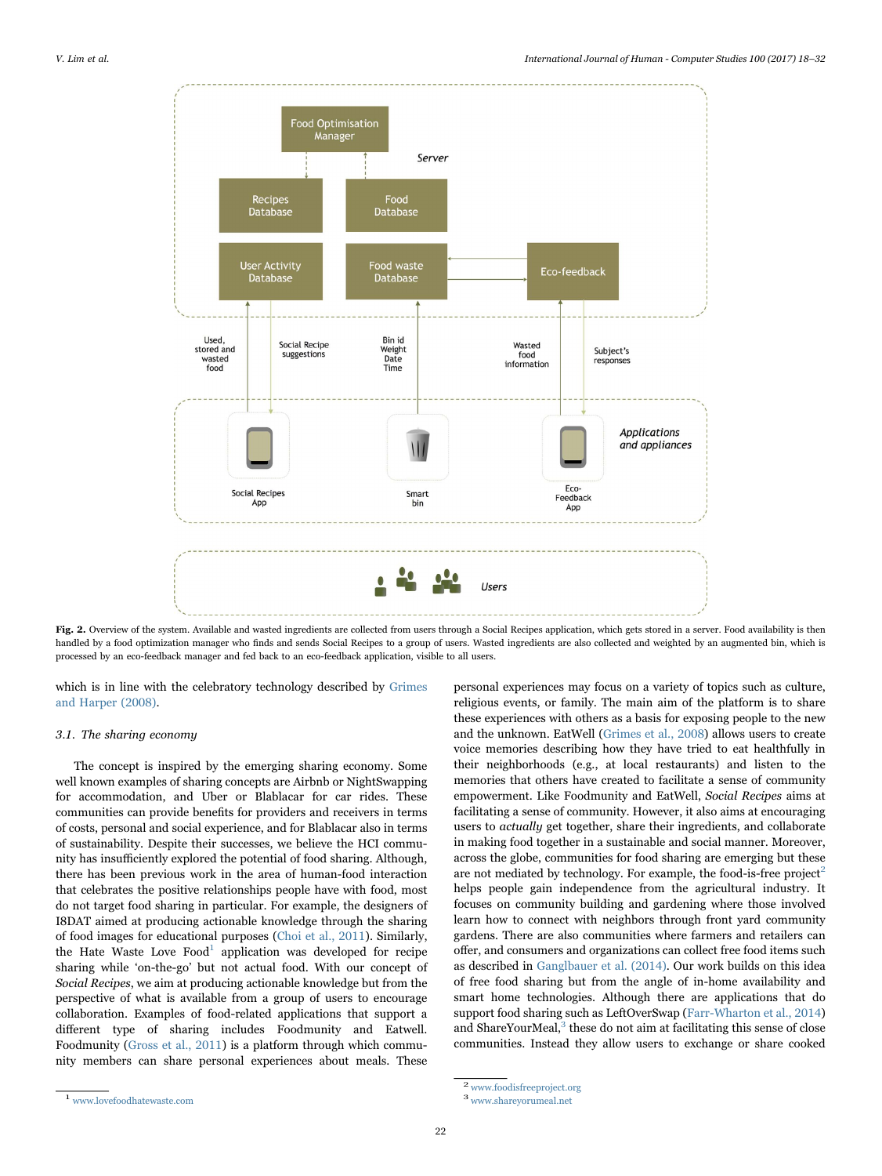<span id="page-4-0"></span>

Fig. 2. Overview of the system. Available and wasted ingredients are collected from users through a Social Recipes application, which gets stored in a server. Food availability is then handled by a food optimization manager who finds and sends Social Recipes to a group of users. Wasted ingredients are also collected and weighted by an augmented bin, which is processed by an eco-feedback manager and fed back to an eco-feedback application, visible to all users.

which is in line with the celebratory technology described by [Grimes](#page-14-32) [and Harper \(2008\).](#page-14-32)

#### 3.1. The sharing economy

The concept is inspired by the emerging sharing economy. Some well known examples of sharing concepts are Airbnb or NightSwapping for accommodation, and Uber or Blablacar for car rides. These communities can provide benefits for providers and receivers in terms of costs, personal and social experience, and for Blablacar also in terms of sustainability. Despite their successes, we believe the HCI community has insufficiently explored the potential of food sharing. Although, there has been previous work in the area of human-food interaction that celebrates the positive relationships people have with food, most do not target food sharing in particular. For example, the designers of I8DAT aimed at producing actionable knowledge through the sharing of food images for educational purposes [\(Choi et al., 2011\)](#page-13-5). Similarly, the Hate Waste Love  $Food<sup>1</sup>$  [application was developed for recipe](#page-4-1) sharing while 'on-the-go' but not actual food. With our concept of Social Recipes, we aim at producing actionable knowledge but from the perspective of what is available from a group of users to encourage collaboration. Examples of food-related applications that support a different type of sharing includes Foodmunity and Eatwell. Foodmunity ([Gross et al., 2011](#page-14-33)) is a platform through which community members can share personal experiences about meals. These

personal experiences may focus on a variety of topics such as culture, religious events, or family. The main aim of the platform is to share these experiences with others as a basis for exposing people to the new and the unknown. EatWell [\(Grimes et al., 2008\)](#page-14-34) allows users to create voice memories describing how they have tried to eat healthfully in their neighborhoods (e.g., at local restaurants) and listen to the memories that others have created to facilitate a sense of community empowerment. Like Foodmunity and EatWell, Social Recipes aims at facilitating a sense of community. However, it also aims at encouraging users to actually get together, share their ingredients, and collaborate in making food together in a sustainable and social manner. Moreover, across the globe, communities for food sharing are emerging but these are not mediated by technology. For example, the food-is-free project<sup>[2](#page-4-2)</sup> helps people gain independence from the agricultural industry. It focuses on community building and gardening where those involved learn how to connect with neighbors through front yard community gardens. There are also communities where farmers and retailers can offer, and consumers and organizations can collect free food items such as described in [Ganglbauer et al. \(2014\)](#page-14-35). Our work builds on this idea of free food sharing but from the angle of in-home availability and smart home technologies. Although there are applications that do support food sharing such as LeftOverSwap [\(Farr-Wharton et al., 2014\)](#page-14-36) and ShareYourMeal, $3$  [these do not aim at facilitating this sense of close](#page-4-3) communities. Instead they allow users to exchange or share cooked

<span id="page-4-1"></span> $\mbox{\bf1}$ www.lovefoodhatewaste.com

<span id="page-4-3"></span><span id="page-4-2"></span><sup>2</sup> www.foodisfreeproject.org <sup>3</sup> www.shareyorumeal.net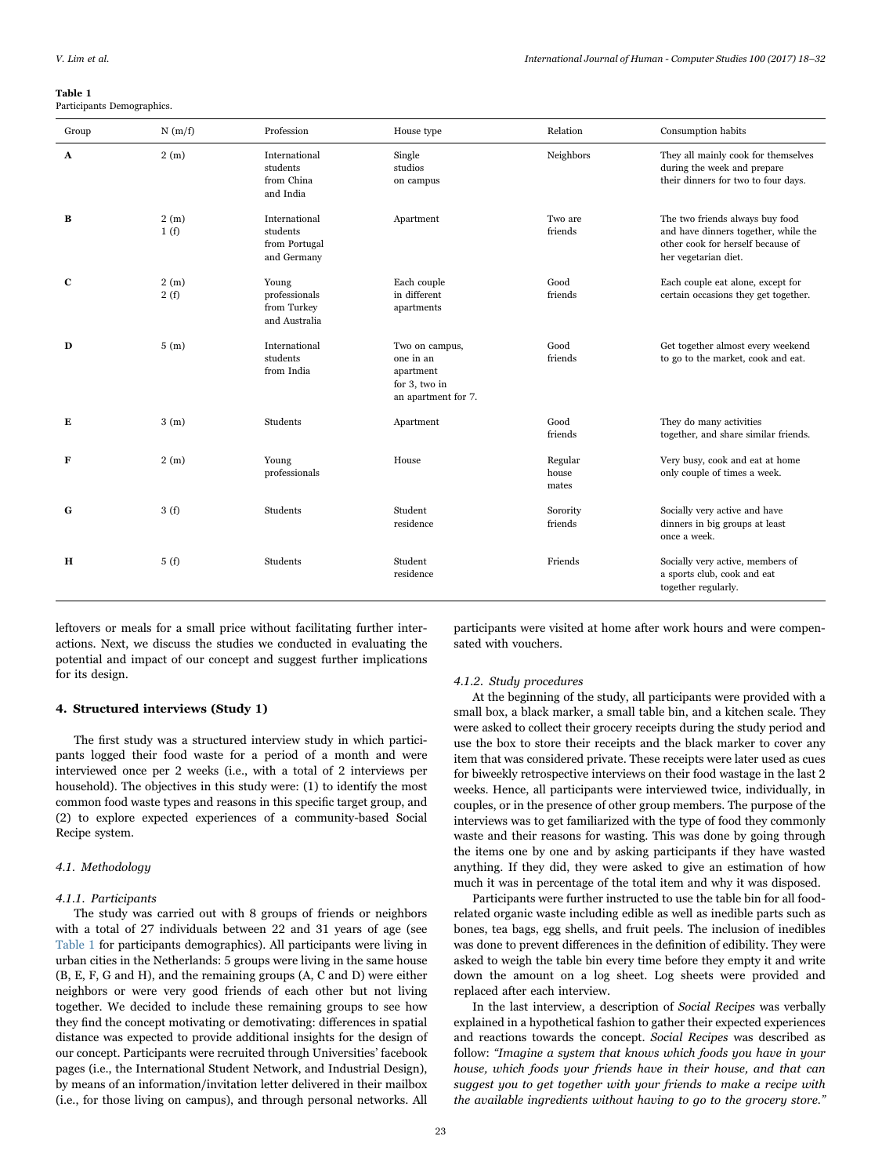<span id="page-5-1"></span>Table 1 Participants Demographics.

| Group        | N(m/f)       | Profession                                                | House type                                                                       | Relation                  | Consumption habits                                                                                                                   |
|--------------|--------------|-----------------------------------------------------------|----------------------------------------------------------------------------------|---------------------------|--------------------------------------------------------------------------------------------------------------------------------------|
| $\mathbf{A}$ | 2(m)         | International<br>students<br>from China<br>and India      | Single<br>studios<br>on campus                                                   | Neighbors                 | They all mainly cook for themselves<br>during the week and prepare<br>their dinners for two to four days.                            |
| B            | 2(m)<br>1(f) | International<br>students<br>from Portugal<br>and Germany | Apartment                                                                        | Two are<br>friends        | The two friends always buy food<br>and have dinners together, while the<br>other cook for herself because of<br>her vegetarian diet. |
| $\mathbf{C}$ | 2(m)<br>2(f) | Young<br>professionals<br>from Turkey<br>and Australia    | Each couple<br>in different<br>apartments                                        | Good<br>friends           | Each couple eat alone, except for<br>certain occasions they get together.                                                            |
| D            | 5(m)         | International<br>students<br>from India                   | Two on campus,<br>one in an<br>apartment<br>for 3, two in<br>an apartment for 7. | Good<br>friends           | Get together almost every weekend<br>to go to the market, cook and eat.                                                              |
| Е            | 3(m)         | Students                                                  | Apartment                                                                        | Good<br>friends           | They do many activities<br>together, and share similar friends.                                                                      |
| F            | 2(m)         | Young<br>professionals                                    | House                                                                            | Regular<br>house<br>mates | Very busy, cook and eat at home<br>only couple of times a week.                                                                      |
| G            | 3(f)         | Students                                                  | Student<br>residence                                                             | Sorority<br>friends       | Socially very active and have<br>dinners in big groups at least<br>once a week.                                                      |
| н            | 5(f)         | Students                                                  | Student<br>residence                                                             | Friends                   | Socially very active, members of<br>a sports club, cook and eat<br>together regularly.                                               |

leftovers or meals for a small price without facilitating further interactions. Next, we discuss the studies we conducted in evaluating the potential and impact of our concept and suggest further implications for its design.

# <span id="page-5-0"></span>4. Structured interviews (Study 1)

The first study was a structured interview study in which participants logged their food waste for a period of a month and were interviewed once per 2 weeks (i.e., with a total of 2 interviews per household). The objectives in this study were: (1) to identify the most common food waste types and reasons in this specific target group, and (2) to explore expected experiences of a community-based Social Recipe system.

# 4.1. Methodology

#### 4.1.1. Participants

The study was carried out with 8 groups of friends or neighbors with a total of 27 individuals between 22 and 31 years of age (see [Table 1](#page-5-1) for participants demographics). All participants were living in urban cities in the Netherlands: 5 groups were living in the same house (B, E, F, G and H), and the remaining groups (A, C and D) were either neighbors or were very good friends of each other but not living together. We decided to include these remaining groups to see how they find the concept motivating or demotivating: differences in spatial distance was expected to provide additional insights for the design of our concept. Participants were recruited through Universities' facebook pages (i.e., the International Student Network, and Industrial Design), by means of an information/invitation letter delivered in their mailbox (i.e., for those living on campus), and through personal networks. All

participants were visited at home after work hours and were compensated with vouchers.

#### 4.1.2. Study procedures

At the beginning of the study, all participants were provided with a small box, a black marker, a small table bin, and a kitchen scale. They were asked to collect their grocery receipts during the study period and use the box to store their receipts and the black marker to cover any item that was considered private. These receipts were later used as cues for biweekly retrospective interviews on their food wastage in the last 2 weeks. Hence, all participants were interviewed twice, individually, in couples, or in the presence of other group members. The purpose of the interviews was to get familiarized with the type of food they commonly waste and their reasons for wasting. This was done by going through the items one by one and by asking participants if they have wasted anything. If they did, they were asked to give an estimation of how much it was in percentage of the total item and why it was disposed.

Participants were further instructed to use the table bin for all foodrelated organic waste including edible as well as inedible parts such as bones, tea bags, egg shells, and fruit peels. The inclusion of inedibles was done to prevent differences in the definition of edibility. They were asked to weigh the table bin every time before they empty it and write down the amount on a log sheet. Log sheets were provided and replaced after each interview.

In the last interview, a description of Social Recipes was verbally explained in a hypothetical fashion to gather their expected experiences and reactions towards the concept. Social Recipes was described as follow: "Imagine a system that knows which foods you have in your house, which foods your friends have in their house, and that can suggest you to get together with your friends to make a recipe with the available ingredients without having to go to the grocery store."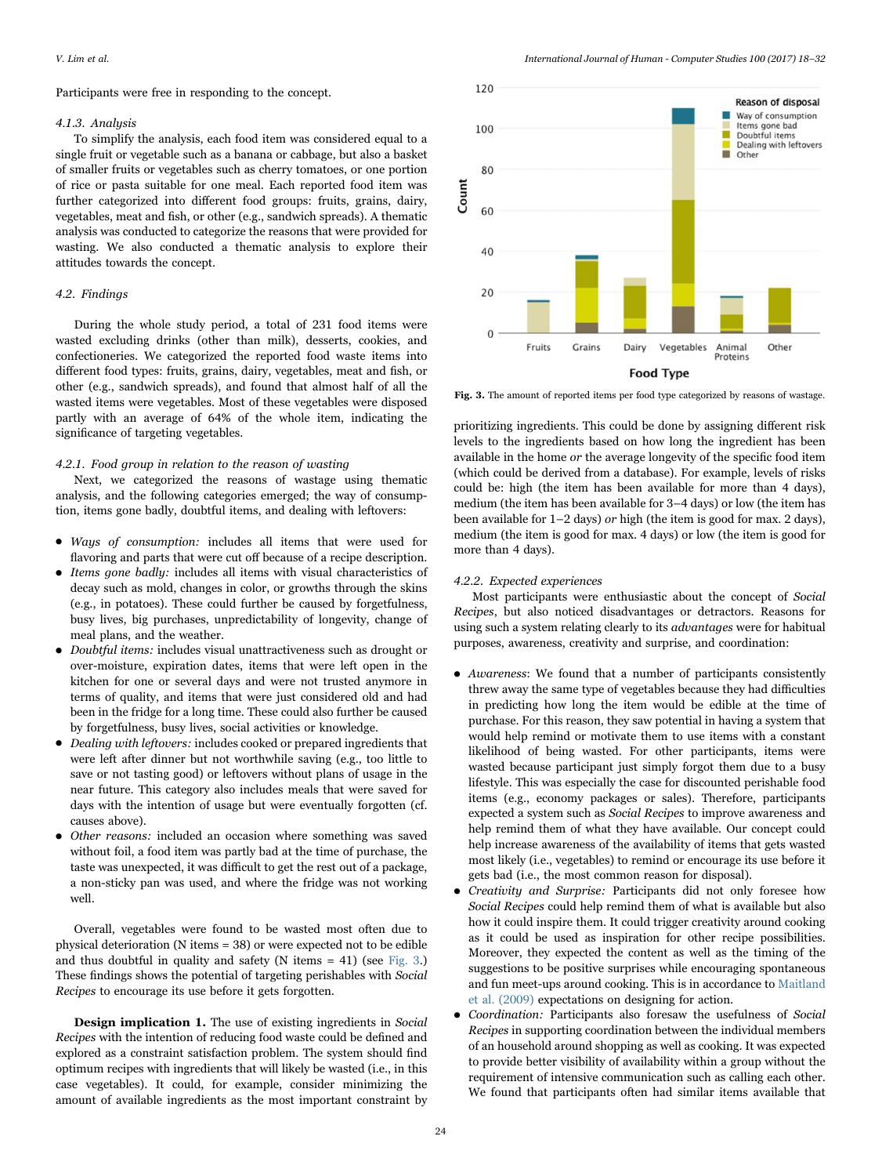Participants were free in responding to the concept.

#### 4.1.3. Analysis

To simplify the analysis, each food item was considered equal to a single fruit or vegetable such as a banana or cabbage, but also a basket of smaller fruits or vegetables such as cherry tomatoes, or one portion of rice or pasta suitable for one meal. Each reported food item was further categorized into different food groups: fruits, grains, dairy, vegetables, meat and fish, or other (e.g., sandwich spreads). A thematic analysis was conducted to categorize the reasons that were provided for wasting. We also conducted a thematic analysis to explore their attitudes towards the concept.

# 4.2. Findings

During the whole study period, a total of 231 food items were wasted excluding drinks (other than milk), desserts, cookies, and confectioneries. We categorized the reported food waste items into different food types: fruits, grains, dairy, vegetables, meat and fish, or other (e.g., sandwich spreads), and found that almost half of all the wasted items were vegetables. Most of these vegetables were disposed partly with an average of 64% of the whole item, indicating the significance of targeting vegetables.

# 4.2.1. Food group in relation to the reason of wasting

Next, we categorized the reasons of wastage using thematic analysis, and the following categories emerged; the way of consumption, items gone badly, doubtful items, and dealing with leftovers:

- Ways of consumption: includes all items that were used for flavoring and parts that were cut off because of a recipe description.
- Items gone badly: includes all items with visual characteristics of decay such as mold, changes in color, or growths through the skins (e.g., in potatoes). These could further be caused by forgetfulness, busy lives, big purchases, unpredictability of longevity, change of meal plans, and the weather.
- Doubtful items: includes visual unattractiveness such as drought or over-moisture, expiration dates, items that were left open in the kitchen for one or several days and were not trusted anymore in terms of quality, and items that were just considered old and had been in the fridge for a long time. These could also further be caused by forgetfulness, busy lives, social activities or knowledge.
- Dealing with leftovers: includes cooked or prepared ingredients that were left after dinner but not worthwhile saving (e.g., too little to save or not tasting good) or leftovers without plans of usage in the near future. This category also includes meals that were saved for days with the intention of usage but were eventually forgotten (cf. causes above).
- Other reasons: included an occasion where something was saved without foil, a food item was partly bad at the time of purchase, the taste was unexpected, it was difficult to get the rest out of a package, a non-sticky pan was used, and where the fridge was not working well.

Overall, vegetables were found to be wasted most often due to physical deterioration (N items = 38) or were expected not to be edible and thus doubtful in quality and safety (N items = 41) (see [Fig. 3.](#page-6-0)) These findings shows the potential of targeting perishables with Social Recipes to encourage its use before it gets forgotten.

Design implication 1. The use of existing ingredients in Social Recipes with the intention of reducing food waste could be defined and explored as a constraint satisfaction problem. The system should find optimum recipes with ingredients that will likely be wasted (i.e., in this case vegetables). It could, for example, consider minimizing the amount of available ingredients as the most important constraint by

<span id="page-6-0"></span>

Fig. 3. The amount of reported items per food type categorized by reasons of wastage.

prioritizing ingredients. This could be done by assigning different risk levels to the ingredients based on how long the ingredient has been available in the home or the average longevity of the specific food item (which could be derived from a database). For example, levels of risks could be: high (the item has been available for more than 4 days), medium (the item has been available for 3–4 days) or low (the item has been available for 1–2 days) or high (the item is good for max. 2 days), medium (the item is good for max. 4 days) or low (the item is good for more than 4 days).

## 4.2.2. Expected experiences

Most participants were enthusiastic about the concept of Social Recipes, but also noticed disadvantages or detractors. Reasons for using such a system relating clearly to its advantages were for habitual purposes, awareness, creativity and surprise, and coordination:

- Awareness: We found that a number of participants consistently threw away the same type of vegetables because they had difficulties in predicting how long the item would be edible at the time of purchase. For this reason, they saw potential in having a system that would help remind or motivate them to use items with a constant likelihood of being wasted. For other participants, items were wasted because participant just simply forgot them due to a busy lifestyle. This was especially the case for discounted perishable food items (e.g., economy packages or sales). Therefore, participants expected a system such as Social Recipes to improve awareness and help remind them of what they have available. Our concept could help increase awareness of the availability of items that gets wasted most likely (i.e., vegetables) to remind or encourage its use before it gets bad (i.e., the most common reason for disposal).
- Creativity and Surprise: Participants did not only foresee how Social Recipes could help remind them of what is available but also how it could inspire them. It could trigger creativity around cooking as it could be used as inspiration for other recipe possibilities. Moreover, they expected the content as well as the timing of the suggestions to be positive surprises while encouraging spontaneous and fun meet-ups around cooking. This is in accordance to [Maitland](#page-14-29) [et al. \(2009\)](#page-14-29) expectations on designing for action.
- Coordination: Participants also foresaw the usefulness of Social Recipes in supporting coordination between the individual members of an household around shopping as well as cooking. It was expected to provide better visibility of availability within a group without the requirement of intensive communication such as calling each other. We found that participants often had similar items available that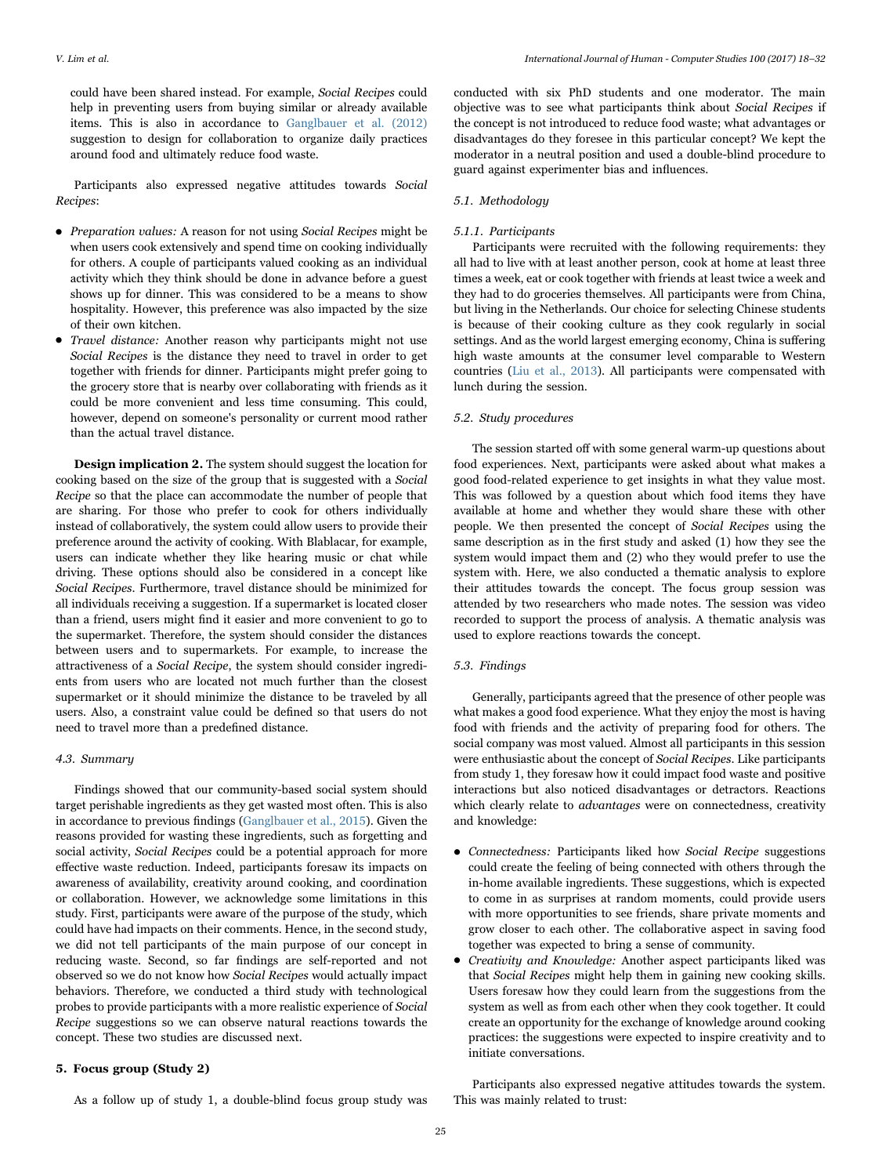could have been shared instead. For example, Social Recipes could help in preventing users from buying similar or already available items. This is also in accordance to [Ganglbauer et al. \(2012\)](#page-14-23) suggestion to design for collaboration to organize daily practices around food and ultimately reduce food waste.

Participants also expressed negative attitudes towards Social Recipes:

- Preparation values: A reason for not using *Social Recipes* might be when users cook extensively and spend time on cooking individually for others. A couple of participants valued cooking as an individual activity which they think should be done in advance before a guest shows up for dinner. This was considered to be a means to show hospitality. However, this preference was also impacted by the size of their own kitchen.
- Travel distance: Another reason why participants might not use Social Recipes is the distance they need to travel in order to get together with friends for dinner. Participants might prefer going to the grocery store that is nearby over collaborating with friends as it could be more convenient and less time consuming. This could, however, depend on someone's personality or current mood rather than the actual travel distance.

Design implication 2. The system should suggest the location for cooking based on the size of the group that is suggested with a Social Recipe so that the place can accommodate the number of people that are sharing. For those who prefer to cook for others individually instead of collaboratively, the system could allow users to provide their preference around the activity of cooking. With Blablacar, for example, users can indicate whether they like hearing music or chat while driving. These options should also be considered in a concept like Social Recipes. Furthermore, travel distance should be minimized for all individuals receiving a suggestion. If a supermarket is located closer than a friend, users might find it easier and more convenient to go to the supermarket. Therefore, the system should consider the distances between users and to supermarkets. For example, to increase the attractiveness of a Social Recipe, the system should consider ingredients from users who are located not much further than the closest supermarket or it should minimize the distance to be traveled by all users. Also, a constraint value could be defined so that users do not need to travel more than a predefined distance.

#### 4.3. Summary

Findings showed that our community-based social system should target perishable ingredients as they get wasted most often. This is also in accordance to previous findings [\(Ganglbauer et al., 2015](#page-14-24)). Given the reasons provided for wasting these ingredients, such as forgetting and social activity, Social Recipes could be a potential approach for more effective waste reduction. Indeed, participants foresaw its impacts on awareness of availability, creativity around cooking, and coordination or collaboration. However, we acknowledge some limitations in this study. First, participants were aware of the purpose of the study, which could have had impacts on their comments. Hence, in the second study, we did not tell participants of the main purpose of our concept in reducing waste. Second, so far findings are self-reported and not observed so we do not know how Social Recipes would actually impact behaviors. Therefore, we conducted a third study with technological probes to provide participants with a more realistic experience of Social Recipe suggestions so we can observe natural reactions towards the concept. These two studies are discussed next.

# 5. Focus group (Study 2)

As a follow up of study 1, a double-blind focus group study was

conducted with six PhD students and one moderator. The main objective was to see what participants think about Social Recipes if the concept is not introduced to reduce food waste; what advantages or disadvantages do they foresee in this particular concept? We kept the moderator in a neutral position and used a double-blind procedure to guard against experimenter bias and influences.

# 5.1. Methodology

# 5.1.1. Participants

Participants were recruited with the following requirements: they all had to live with at least another person, cook at home at least three times a week, eat or cook together with friends at least twice a week and they had to do groceries themselves. All participants were from China, but living in the Netherlands. Our choice for selecting Chinese students is because of their cooking culture as they cook regularly in social settings. And as the world largest emerging economy, China is suffering high waste amounts at the consumer level comparable to Western countries ([Liu et al., 2013](#page-14-37)). All participants were compensated with lunch during the session.

#### 5.2. Study procedures

The session started off with some general warm-up questions about food experiences. Next, participants were asked about what makes a good food-related experience to get insights in what they value most. This was followed by a question about which food items they have available at home and whether they would share these with other people. We then presented the concept of Social Recipes using the same description as in the first study and asked (1) how they see the system would impact them and (2) who they would prefer to use the system with. Here, we also conducted a thematic analysis to explore their attitudes towards the concept. The focus group session was attended by two researchers who made notes. The session was video recorded to support the process of analysis. A thematic analysis was used to explore reactions towards the concept.

# 5.3. Findings

Generally, participants agreed that the presence of other people was what makes a good food experience. What they enjoy the most is having food with friends and the activity of preparing food for others. The social company was most valued. Almost all participants in this session were enthusiastic about the concept of Social Recipes. Like participants from study 1, they foresaw how it could impact food waste and positive interactions but also noticed disadvantages or detractors. Reactions which clearly relate to *advantages* were on connectedness, creativity and knowledge:

- Connectedness: Participants liked how Social Recipe suggestions could create the feeling of being connected with others through the in-home available ingredients. These suggestions, which is expected to come in as surprises at random moments, could provide users with more opportunities to see friends, share private moments and grow closer to each other. The collaborative aspect in saving food together was expected to bring a sense of community.
- Creativity and Knowledge: Another aspect participants liked was that Social Recipes might help them in gaining new cooking skills. Users foresaw how they could learn from the suggestions from the system as well as from each other when they cook together. It could create an opportunity for the exchange of knowledge around cooking practices: the suggestions were expected to inspire creativity and to initiate conversations.

Participants also expressed negative attitudes towards the system. This was mainly related to trust: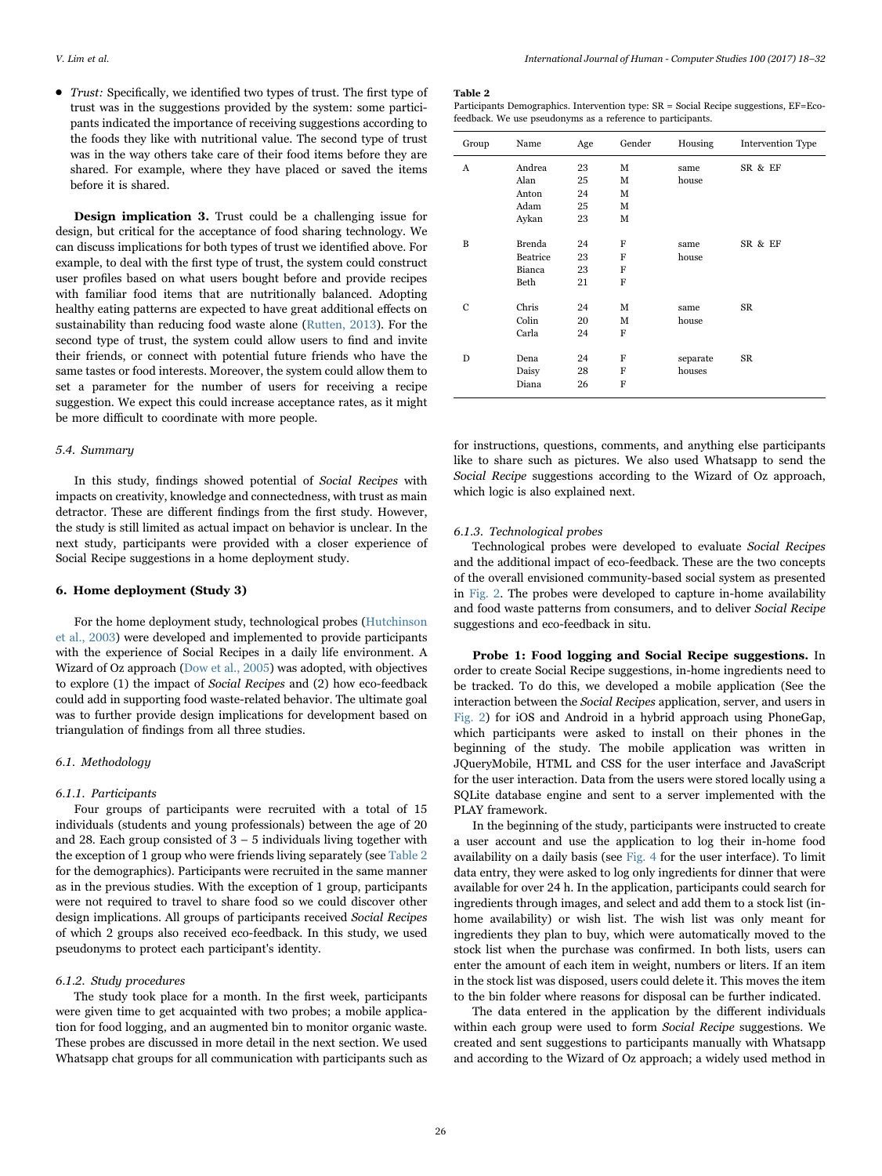• Trust: Specifically, we identified two types of trust. The first type of trust was in the suggestions provided by the system: some participants indicated the importance of receiving suggestions according to the foods they like with nutritional value. The second type of trust was in the way others take care of their food items before they are shared. For example, where they have placed or saved the items before it is shared.

Design implication 3. Trust could be a challenging issue for design, but critical for the acceptance of food sharing technology. We can discuss implications for both types of trust we identified above. For example, to deal with the first type of trust, the system could construct user profiles based on what users bought before and provide recipes with familiar food items that are nutritionally balanced. Adopting healthy eating patterns are expected to have great additional effects on sustainability than reducing food waste alone [\(Rutten, 2013](#page-14-7)). For the second type of trust, the system could allow users to find and invite their friends, or connect with potential future friends who have the same tastes or food interests. Moreover, the system could allow them to set a parameter for the number of users for receiving a recipe suggestion. We expect this could increase acceptance rates, as it might be more difficult to coordinate with more people.

# 5.4. Summary

In this study, findings showed potential of Social Recipes with impacts on creativity, knowledge and connectedness, with trust as main detractor. These are different findings from the first study. However, the study is still limited as actual impact on behavior is unclear. In the next study, participants were provided with a closer experience of Social Recipe suggestions in a home deployment study.

# 6. Home deployment (Study 3)

For the home deployment study, technological probes [\(Hutchinson](#page-14-9) [et al., 2003](#page-14-9)) were developed and implemented to provide participants with the experience of Social Recipes in a daily life environment. A Wizard of Oz approach [\(Dow et al., 2005](#page-14-10)) was adopted, with objectives to explore (1) the impact of Social Recipes and (2) how eco-feedback could add in supporting food waste-related behavior. The ultimate goal was to further provide design implications for development based on triangulation of findings from all three studies.

# 6.1. Methodology

## 6.1.1. Participants

Four groups of participants were recruited with a total of 15 individuals (students and young professionals) between the age of 20 and 28. Each group consisted of  $3 - 5$  individuals living together with the exception of 1 group who were friends living separately (see [Table 2](#page-8-0) for the demographics). Participants were recruited in the same manner as in the previous studies. With the exception of 1 group, participants were not required to travel to share food so we could discover other design implications. All groups of participants received Social Recipes of which 2 groups also received eco-feedback. In this study, we used pseudonyms to protect each participant's identity.

# 6.1.2. Study procedures

The study took place for a month. In the first week, participants were given time to get acquainted with two probes; a mobile application for food logging, and an augmented bin to monitor organic waste. These probes are discussed in more detail in the next section. We used Whatsapp chat groups for all communication with participants such as

#### <span id="page-8-0"></span>Table 2

Participants Demographics. Intervention type: SR = Social Recipe suggestions, EF=Ecofeedback. We use pseudonyms as a reference to participants.

| Group | Name           | Age      | Gender | Housing       | Intervention Type |
|-------|----------------|----------|--------|---------------|-------------------|
| A     | Andrea<br>Alan | 23<br>25 | М<br>M | same<br>house | SR & EF           |
|       | Anton          | 24       | M      |               |                   |
|       | Adam           | 25       | M      |               |                   |
|       | Aykan          | 23       | M      |               |                   |
| B     | Brenda         | 24       | F      | same          | SR & EF           |
|       | Beatrice       | 23       | F      | house         |                   |
|       | Bianca         | 23       | F      |               |                   |
|       | Beth           | 21       | F      |               |                   |
| C     | Chris          | 24       | М      | same          | SR                |
|       | Colin          | 20       | м      | house         |                   |
|       | Carla          | 24       | F      |               |                   |
| D     | Dena           | 24       | F      | separate      | SR                |
|       | Daisy          | 28       | F      | houses        |                   |
|       | Diana          | 26       | F      |               |                   |

for instructions, questions, comments, and anything else participants like to share such as pictures. We also used Whatsapp to send the Social Recipe suggestions according to the Wizard of Oz approach, which logic is also explained next.

#### 6.1.3. Technological probes

Technological probes were developed to evaluate Social Recipes and the additional impact of eco-feedback. These are the two concepts of the overall envisioned community-based social system as presented in [Fig. 2.](#page-4-0) The probes were developed to capture in-home availability and food waste patterns from consumers, and to deliver Social Recipe suggestions and eco-feedback in situ.

Probe 1: Food logging and Social Recipe suggestions. In order to create Social Recipe suggestions, in-home ingredients need to be tracked. To do this, we developed a mobile application (See the interaction between the Social Recipes application, server, and users in [Fig. 2](#page-4-0)) for iOS and Android in a hybrid approach using PhoneGap, which participants were asked to install on their phones in the beginning of the study. The mobile application was written in JQueryMobile, HTML and CSS for the user interface and JavaScript for the user interaction. Data from the users were stored locally using a SQLite database engine and sent to a server implemented with the PLAY framework.

In the beginning of the study, participants were instructed to create a user account and use the application to log their in-home food availability on a daily basis (see [Fig. 4](#page-9-0) for the user interface). To limit data entry, they were asked to log only ingredients for dinner that were available for over 24 h. In the application, participants could search for ingredients through images, and select and add them to a stock list (inhome availability) or wish list. The wish list was only meant for ingredients they plan to buy, which were automatically moved to the stock list when the purchase was confirmed. In both lists, users can enter the amount of each item in weight, numbers or liters. If an item in the stock list was disposed, users could delete it. This moves the item to the bin folder where reasons for disposal can be further indicated.

The data entered in the application by the different individuals within each group were used to form Social Recipe suggestions. We created and sent suggestions to participants manually with Whatsapp and according to the Wizard of Oz approach; a widely used method in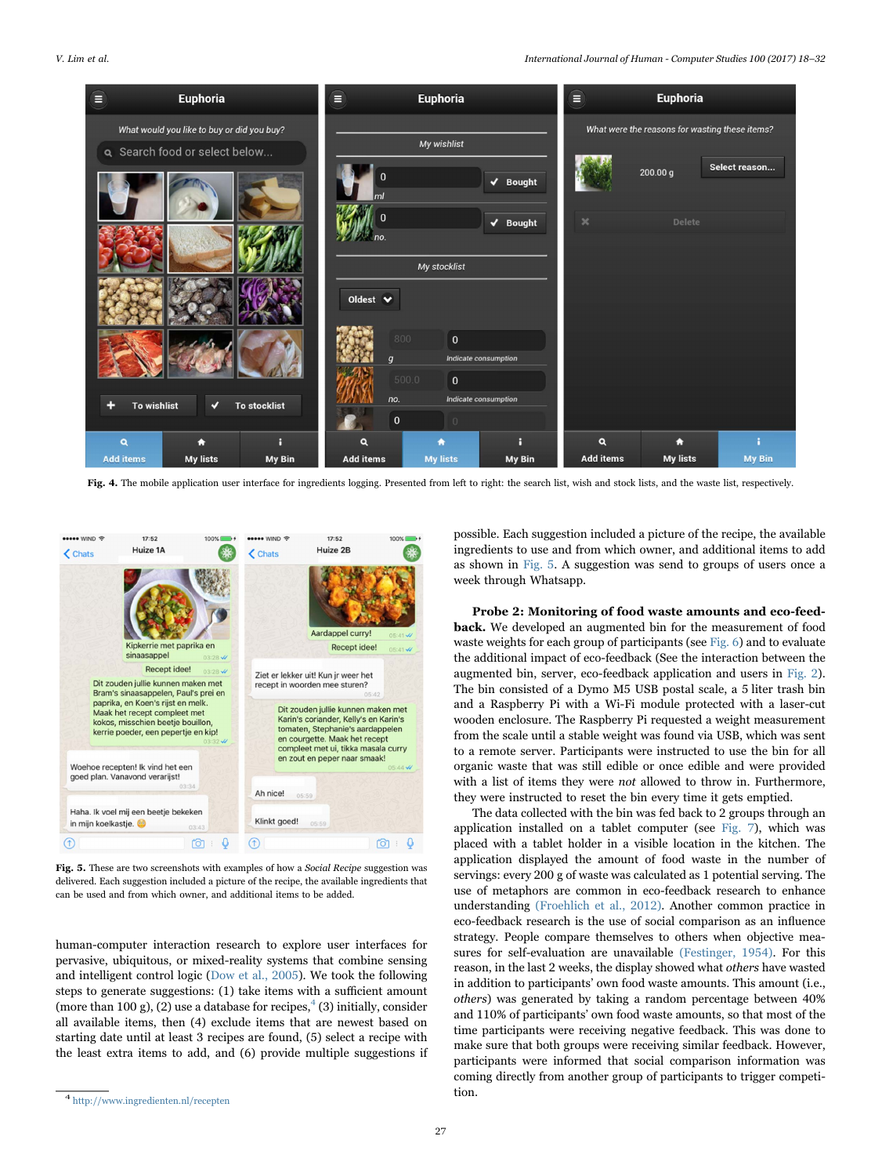<span id="page-9-0"></span>

Fig. 4. The mobile application user interface for ingredients logging. Presented from left to right: the search list, wish and stock lists, and the waste list, respectively.

<span id="page-9-2"></span>

Fig. 5. These are two screenshots with examples of how a Social Recipe suggestion was delivered. Each suggestion included a picture of the recipe, the available ingredients that can be used and from which owner, and additional items to be added.

human-computer interaction research to explore user interfaces for pervasive, ubiquitous, or mixed-reality systems that combine sensing and intelligent control logic [\(Dow et al., 2005\)](#page-14-10). We took the following steps to generate suggestions: (1) take items with a sufficient amount (more than 100 g), (2) use a database for recipes,  $(3)$  initially, consider all available items, then (4) exclude items that are newest based on starting date until at least 3 recipes are found, (5) select a recipe with the least extra items to add, and (6) provide multiple suggestions if possible. Each suggestion included a picture of the recipe, the available ingredients to use and from which owner, and additional items to add as shown in [Fig. 5](#page-9-2). A suggestion was send to groups of users once a week through Whatsapp.

Probe 2: Monitoring of food waste amounts and eco-feedback. We developed an augmented bin for the measurement of food waste weights for each group of participants (see [Fig. 6](#page-10-0)) and to evaluate the additional impact of eco-feedback (See the interaction between the augmented bin, server, eco-feedback application and users in [Fig. 2\)](#page-4-0). The bin consisted of a Dymo M5 USB postal scale, a 5 liter trash bin and a Raspberry Pi with a Wi-Fi module protected with a laser-cut wooden enclosure. The Raspberry Pi requested a weight measurement from the scale until a stable weight was found via USB, which was sent to a remote server. Participants were instructed to use the bin for all organic waste that was still edible or once edible and were provided with a list of items they were not allowed to throw in. Furthermore, they were instructed to reset the bin every time it gets emptied.

The data collected with the bin was fed back to 2 groups through an application installed on a tablet computer (see [Fig. 7](#page-10-1)), which was placed with a tablet holder in a visible location in the kitchen. The application displayed the amount of food waste in the number of servings: every 200 g of waste was calculated as 1 potential serving. The use of metaphors are common in eco-feedback research to enhance understanding [\(Froehlich et al., 2012\).](#page-14-38) Another common practice in eco-feedback research is the use of social comparison as an influence strategy. People compare themselves to others when objective measures for self-evaluation are unavailable [\(Festinger, 1954\)](#page-14-39). For this reason, in the last 2 weeks, the display showed what others have wasted in addition to participants' own food waste amounts. This amount (i.e., others) was generated by taking a random percentage between 40% and 110% of participants' own food waste amounts, so that most of the time participants were receiving negative feedback. This was done to make sure that both groups were receiving similar feedback. However, participants were informed that social comparison information was coming directly from another group of participants to trigger competition.

<span id="page-9-1"></span><sup>4</sup> http://www.ingredienten.nl/recepten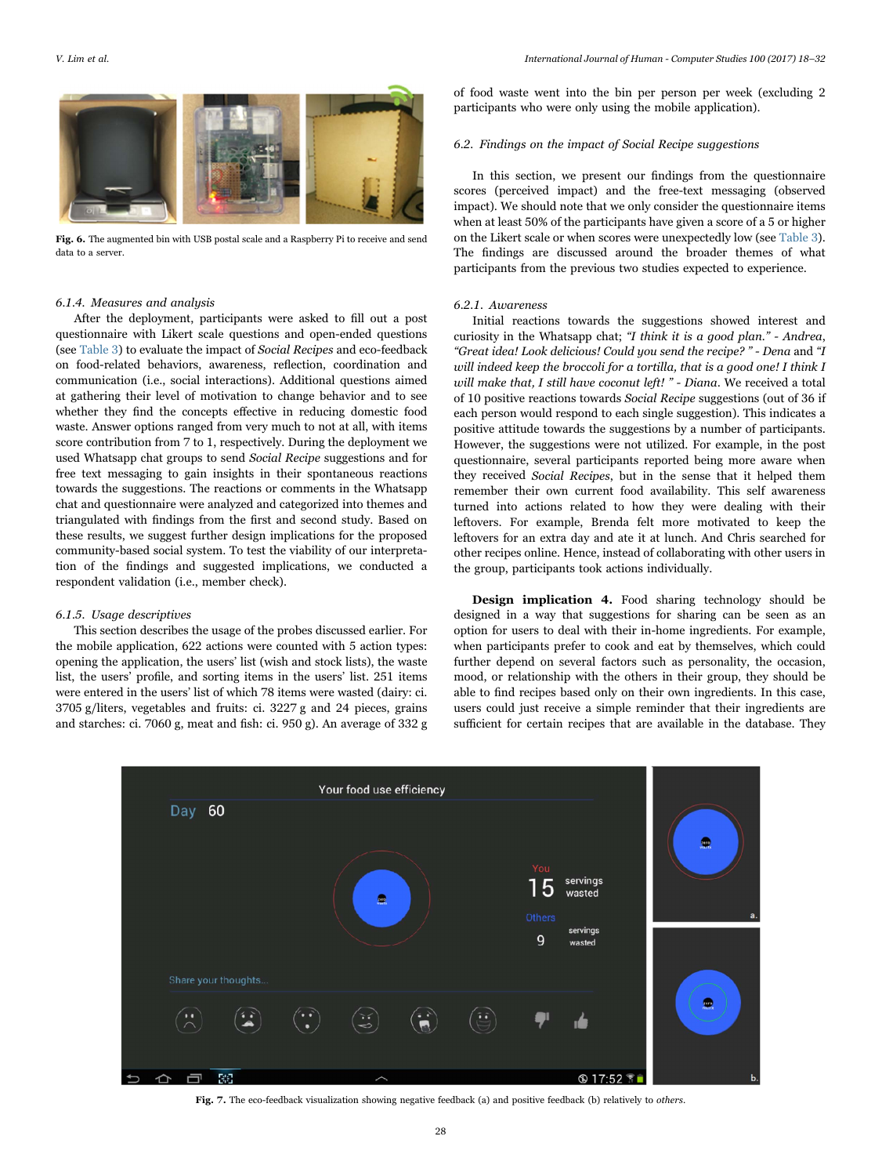<span id="page-10-0"></span>

Fig. 6. The augmented bin with USB postal scale and a Raspberry Pi to receive and send data to a server.

#### 6.1.4. Measures and analysis

After the deployment, participants were asked to fill out a post questionnaire with Likert scale questions and open-ended questions (see [Table 3\)](#page-11-0) to evaluate the impact of Social Recipes and eco-feedback on food-related behaviors, awareness, reflection, coordination and communication (i.e., social interactions). Additional questions aimed at gathering their level of motivation to change behavior and to see whether they find the concepts effective in reducing domestic food waste. Answer options ranged from very much to not at all, with items score contribution from 7 to 1, respectively. During the deployment we used Whatsapp chat groups to send Social Recipe suggestions and for free text messaging to gain insights in their spontaneous reactions towards the suggestions. The reactions or comments in the Whatsapp chat and questionnaire were analyzed and categorized into themes and triangulated with findings from the first and second study. Based on these results, we suggest further design implications for the proposed community-based social system. To test the viability of our interpretation of the findings and suggested implications, we conducted a respondent validation (i.e., member check).

# 6.1.5. Usage descriptives

This section describes the usage of the probes discussed earlier. For the mobile application, 622 actions were counted with 5 action types: opening the application, the users' list (wish and stock lists), the waste list, the users' profile, and sorting items in the users' list. 251 items were entered in the users' list of which 78 items were wasted (dairy: ci. 3705 g/liters, vegetables and fruits: ci. 3227 g and 24 pieces, grains and starches: ci. 7060 g, meat and fish: ci. 950 g). An average of 332 g of food waste went into the bin per person per week (excluding 2 participants who were only using the mobile application).

#### 6.2. Findings on the impact of Social Recipe suggestions

In this section, we present our findings from the questionnaire scores (perceived impact) and the free-text messaging (observed impact). We should note that we only consider the questionnaire items when at least 50% of the participants have given a score of a 5 or higher on the Likert scale or when scores were unexpectedly low (see [Table 3\)](#page-11-0). The findings are discussed around the broader themes of what participants from the previous two studies expected to experience.

#### 6.2.1. Awareness

Initial reactions towards the suggestions showed interest and curiosity in the Whatsapp chat; "I think it is a good plan." - Andrea, "Great idea! Look delicious! Could you send the recipe? " - Dena and "I will indeed keep the broccoli for a tortilla, that is a good one! I think I will make that, I still have coconut left! " - Diana. We received a total of 10 positive reactions towards Social Recipe suggestions (out of 36 if each person would respond to each single suggestion). This indicates a positive attitude towards the suggestions by a number of participants. However, the suggestions were not utilized. For example, in the post questionnaire, several participants reported being more aware when they received Social Recipes, but in the sense that it helped them remember their own current food availability. This self awareness turned into actions related to how they were dealing with their leftovers. For example, Brenda felt more motivated to keep the leftovers for an extra day and ate it at lunch. And Chris searched for other recipes online. Hence, instead of collaborating with other users in the group, participants took actions individually.

Design implication 4. Food sharing technology should be designed in a way that suggestions for sharing can be seen as an option for users to deal with their in-home ingredients. For example, when participants prefer to cook and eat by themselves, which could further depend on several factors such as personality, the occasion, mood, or relationship with the others in their group, they should be able to find recipes based only on their own ingredients. In this case, users could just receive a simple reminder that their ingredients are sufficient for certain recipes that are available in the database. They

<span id="page-10-1"></span>

Fig. 7. The eco-feedback visualization showing negative feedback (a) and positive feedback (b) relatively to others.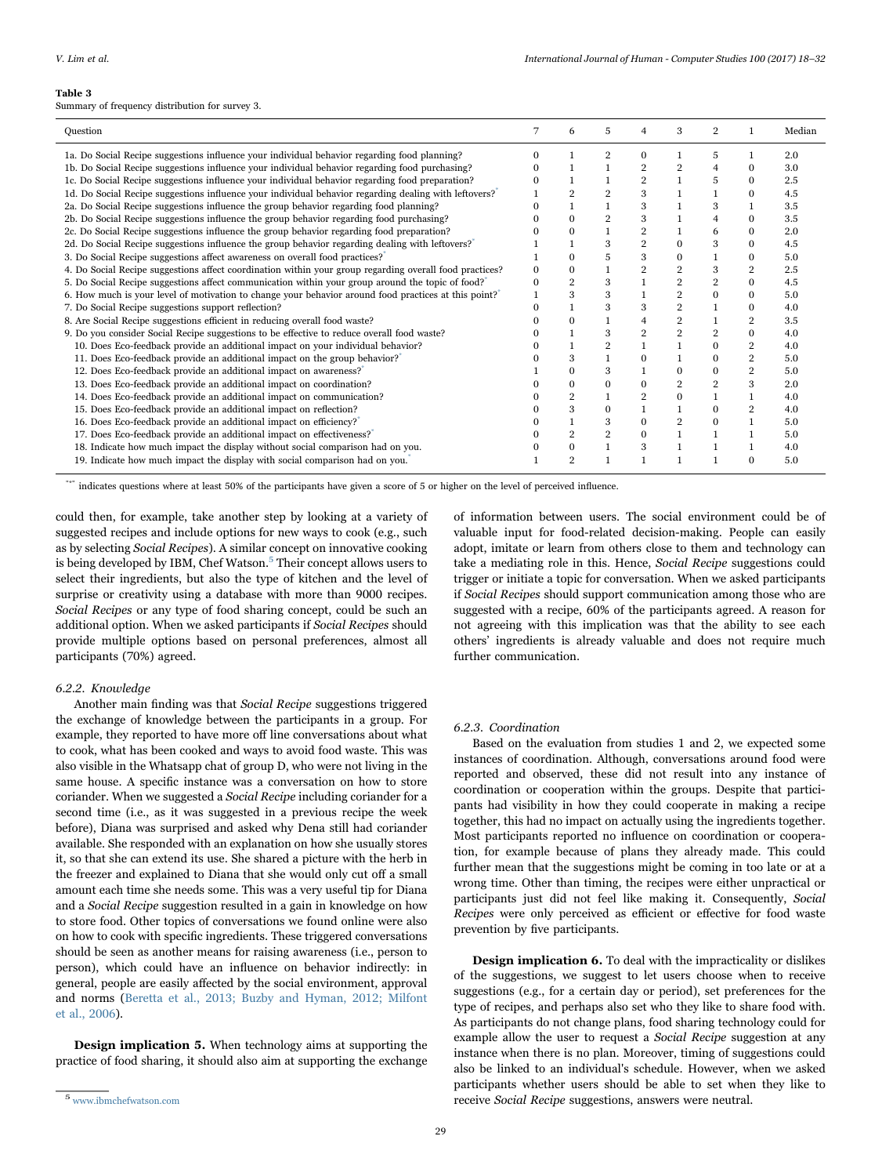#### <span id="page-11-0"></span>Table 3

Summary of frequency distribution for survey 3.

| 7<br>$\overline{2}$<br>5<br>3<br>Median<br>Question<br>6<br>4<br>1                                                                                                                               |  |
|--------------------------------------------------------------------------------------------------------------------------------------------------------------------------------------------------|--|
| 1a. Do Social Recipe suggestions influence your individual behavior regarding food planning?<br>2.0<br>$\overline{2}$<br>0<br>5<br>U                                                             |  |
| 1b. Do Social Recipe suggestions influence your individual behavior regarding food purchasing?<br>$\overline{2}$<br>$\overline{2}$<br>3.0<br>$\Omega$                                            |  |
| 1c. Do Social Recipe suggestions influence your individual behavior regarding food preparation?<br>$\overline{2}$<br>2.5<br>5<br>$\Omega$                                                        |  |
| 1d. Do Social Recipe suggestions influence your individual behavior regarding dealing with leftovers?"<br>$\overline{2}$<br>3<br>4.5<br>$\Omega$                                                 |  |
| 2a. Do Social Recipe suggestions influence the group behavior regarding food planning?<br>3<br>3.5<br>3                                                                                          |  |
| 2b. Do Social Recipe suggestions influence the group behavior regarding food purchasing?<br>3<br>$\Omega$<br>$\overline{2}$<br>3.5<br>4<br>$\Omega$                                              |  |
| 2c. Do Social Recipe suggestions influence the group behavior regarding food preparation?<br>$\overline{2}$<br>6<br>2.0<br>$\Omega$<br>$\Omega$                                                  |  |
| 2d. Do Social Recipe suggestions influence the group behavior regarding dealing with leftovers?<br>$\overline{2}$<br>3<br>3<br>$\Omega$<br>4.5<br>$\Omega$                                       |  |
| 3. Do Social Recipe suggestions affect awareness on overall food practices?<br>3<br>5.0<br>$\Omega$<br>5<br>$\mathbf{0}$<br>$\Omega$                                                             |  |
| 3<br>$\overline{2}$<br>$\overline{2}$<br>4. Do Social Recipe suggestions affect coordination within your group regarding overall food practices?<br>$\overline{2}$<br>2.5<br>$\Omega$<br>0       |  |
| $\overline{2}$<br>5. Do Social Recipe suggestions affect communication within your group around the topic of food? <sup>®</sup><br>$\overline{2}$<br>$\overline{2}$<br>3<br>4.5<br>$\Omega$<br>0 |  |
| 3<br>6. How much is your level of motivation to change your behavior around food practices at this point?<br>$\overline{2}$<br>3<br>$\mathbf{0}$<br>5.0<br>$\Omega$                              |  |
| 7. Do Social Recipe suggestions support reflection?<br>3<br>$\overline{2}$<br>4.0<br>3<br>$\Omega$                                                                                               |  |
| 8. Are Social Recipe suggestions efficient in reducing overall food waste?<br>$\overline{2}$<br>$\overline{2}$<br>3.5<br>$\Omega$<br>4                                                           |  |
| 9. Do you consider Social Recipe suggestions to be effective to reduce overall food waste?<br>$\overline{2}$<br>$\overline{2}$<br>$\overline{2}$<br>3<br>$\Omega$<br>4.0                         |  |
| 10. Does Eco-feedback provide an additional impact on your individual behavior?<br>$\Omega$<br>$\overline{2}$<br>4.0                                                                             |  |
| 11. Does Eco-feedback provide an additional impact on the group behavior?"<br>3<br>$\overline{2}$<br>$\Omega$<br>5.0<br>$\Omega$                                                                 |  |
| 12. Does Eco-feedback provide an additional impact on awareness?"<br>3<br>$\overline{2}$<br>5.0<br>$\Omega$<br>$\mathbf{0}$<br>$\mathbf{0}$                                                      |  |
| 13. Does Eco-feedback provide an additional impact on coordination?<br>$\overline{2}$<br>$\overline{2}$<br>3<br>2.0<br>$\Omega$<br>$\Omega$<br>$\Omega$                                          |  |
| 14. Does Eco-feedback provide an additional impact on communication?<br>$\overline{2}$<br>$\overline{2}$<br>$\mathbf{0}$<br>4.0                                                                  |  |
| 15. Does Eco-feedback provide an additional impact on reflection?<br>3<br>$\Omega$<br>$\overline{2}$<br>4.0<br>$\Omega$                                                                          |  |
| 16. Does Eco-feedback provide an additional impact on efficiency? <sup>®</sup><br>3<br>$\overline{2}$<br>5.0<br>$\Omega$<br>$\Omega$                                                             |  |
| 17. Does Eco-feedback provide an additional impact on effectiveness?<br>$\overline{2}$<br>$\Omega$<br>5.0                                                                                        |  |
| 18. Indicate how much impact the display without social comparison had on you.<br>$\Omega$<br>3<br>4.0                                                                                           |  |
| 19. Indicate how much impact the display with social comparison had on you.<br>$\mathcal{P}$<br>5.0<br>$\Omega$                                                                                  |  |

"\*" indicates questions where at least 50% of the participants have given a score of 5 or higher on the level of perceived influence.

could then, for example, take another step by looking at a variety of suggested recipes and include options for new ways to cook (e.g., such as by selecting Social Recipes). A similar concept on innovative cooking is being developed by IBM, Chef Watson.<sup>5</sup> [Their concept allows users to](#page-11-1) select their ingredients, but also the type of kitchen and the level of surprise or creativity using a database with more than 9000 recipes. Social Recipes or any type of food sharing concept, could be such an additional option. When we asked participants if Social Recipes should provide multiple options based on personal preferences, almost all participants (70%) agreed.

## 6.2.2. Knowledge

Another main finding was that Social Recipe suggestions triggered the exchange of knowledge between the participants in a group. For example, they reported to have more off line conversations about what to cook, what has been cooked and ways to avoid food waste. This was also visible in the Whatsapp chat of group D, who were not living in the same house. A specific instance was a conversation on how to store coriander. When we suggested a Social Recipe including coriander for a second time (i.e., as it was suggested in a previous recipe the week before), Diana was surprised and asked why Dena still had coriander available. She responded with an explanation on how she usually stores it, so that she can extend its use. She shared a picture with the herb in the freezer and explained to Diana that she would only cut off a small amount each time she needs some. This was a very useful tip for Diana and a Social Recipe suggestion resulted in a gain in knowledge on how to store food. Other topics of conversations we found online were also on how to cook with specific ingredients. These triggered conversations should be seen as another means for raising awareness (i.e., person to person), which could have an influence on behavior indirectly: in general, people are easily affected by the social environment, approval and norms [\(Beretta et al., 2013; Buzby and Hyman, 2012; Milfont](#page-13-6) [et al., 2006](#page-13-6)).

Design implication 5. When technology aims at supporting the practice of food sharing, it should also aim at supporting the exchange

<span id="page-11-1"></span><sup>5</sup> www.ibmchefwatson.com

of information between users. The social environment could be of valuable input for food-related decision-making. People can easily adopt, imitate or learn from others close to them and technology can take a mediating role in this. Hence, Social Recipe suggestions could trigger or initiate a topic for conversation. When we asked participants if Social Recipes should support communication among those who are suggested with a recipe, 60% of the participants agreed. A reason for not agreeing with this implication was that the ability to see each others' ingredients is already valuable and does not require much further communication.

#### 6.2.3. Coordination

Based on the evaluation from studies 1 and 2, we expected some instances of coordination. Although, conversations around food were reported and observed, these did not result into any instance of coordination or cooperation within the groups. Despite that participants had visibility in how they could cooperate in making a recipe together, this had no impact on actually using the ingredients together. Most participants reported no influence on coordination or cooperation, for example because of plans they already made. This could further mean that the suggestions might be coming in too late or at a wrong time. Other than timing, the recipes were either unpractical or participants just did not feel like making it. Consequently, Social Recipes were only perceived as efficient or effective for food waste prevention by five participants.

Design implication 6. To deal with the impracticality or dislikes of the suggestions, we suggest to let users choose when to receive suggestions (e.g., for a certain day or period), set preferences for the type of recipes, and perhaps also set who they like to share food with. As participants do not change plans, food sharing technology could for example allow the user to request a Social Recipe suggestion at any instance when there is no plan. Moreover, timing of suggestions could also be linked to an individual's schedule. However, when we asked participants whether users should be able to set when they like to receive Social Recipe suggestions, answers were neutral.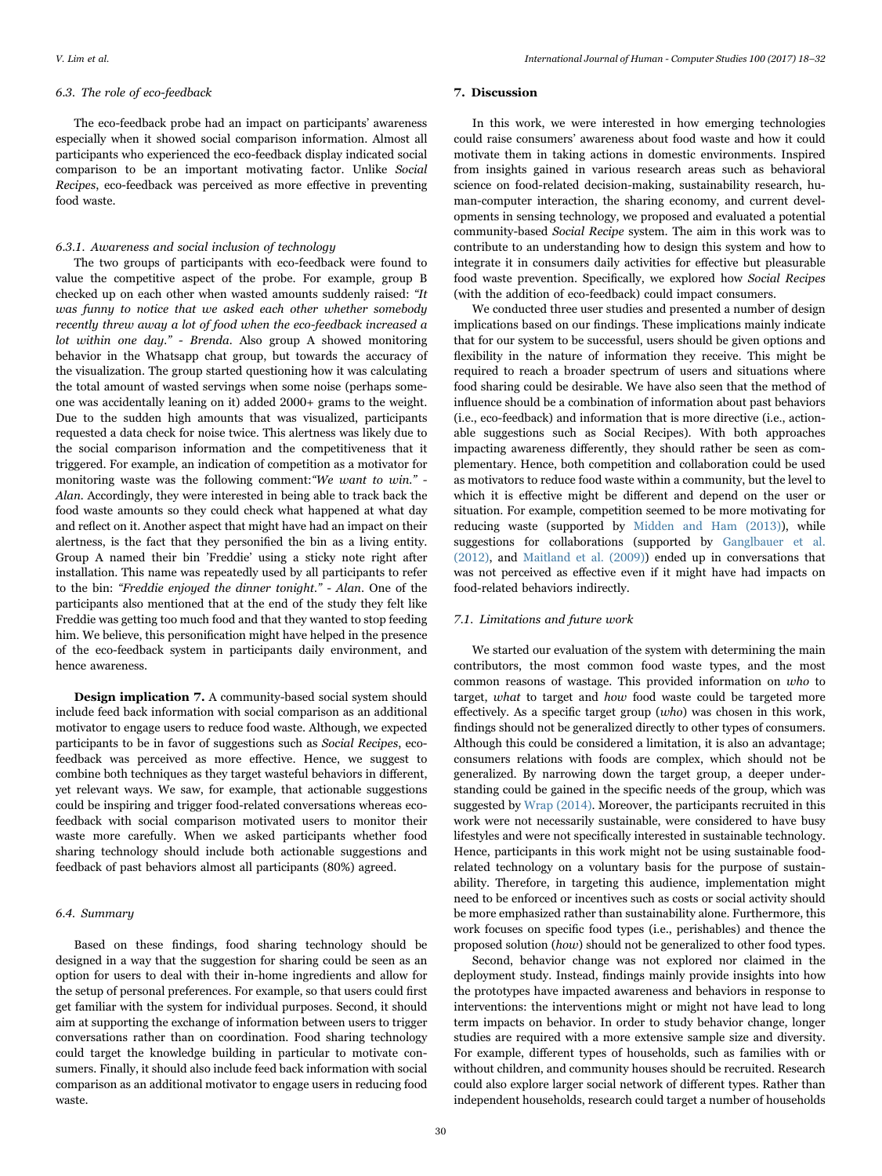#### 6.3. The role of eco-feedback

The eco-feedback probe had an impact on participants' awareness especially when it showed social comparison information. Almost all participants who experienced the eco-feedback display indicated social comparison to be an important motivating factor. Unlike Social Recipes, eco-feedback was perceived as more effective in preventing food waste.

# 6.3.1. Awareness and social inclusion of technology

The two groups of participants with eco-feedback were found to value the competitive aspect of the probe. For example, group B checked up on each other when wasted amounts suddenly raised: "It was funny to notice that we asked each other whether somebody recently threw away a lot of food when the eco-feedback increased a lot within one day." - Brenda. Also group A showed monitoring behavior in the Whatsapp chat group, but towards the accuracy of the visualization. The group started questioning how it was calculating the total amount of wasted servings when some noise (perhaps someone was accidentally leaning on it) added 2000+ grams to the weight. Due to the sudden high amounts that was visualized, participants requested a data check for noise twice. This alertness was likely due to the social comparison information and the competitiveness that it triggered. For example, an indication of competition as a motivator for monitoring waste was the following comment:"We want to win." - Alan. Accordingly, they were interested in being able to track back the food waste amounts so they could check what happened at what day and reflect on it. Another aspect that might have had an impact on their alertness, is the fact that they personified the bin as a living entity. Group A named their bin 'Freddie' using a sticky note right after installation. This name was repeatedly used by all participants to refer to the bin: "Freddie enjoyed the dinner tonight." - Alan. One of the participants also mentioned that at the end of the study they felt like Freddie was getting too much food and that they wanted to stop feeding him. We believe, this personification might have helped in the presence of the eco-feedback system in participants daily environment, and hence awareness.

Design implication 7. A community-based social system should include feed back information with social comparison as an additional motivator to engage users to reduce food waste. Although, we expected participants to be in favor of suggestions such as Social Recipes, ecofeedback was perceived as more effective. Hence, we suggest to combine both techniques as they target wasteful behaviors in different, yet relevant ways. We saw, for example, that actionable suggestions could be inspiring and trigger food-related conversations whereas ecofeedback with social comparison motivated users to monitor their waste more carefully. When we asked participants whether food sharing technology should include both actionable suggestions and feedback of past behaviors almost all participants (80%) agreed.

# 6.4. Summary

Based on these findings, food sharing technology should be designed in a way that the suggestion for sharing could be seen as an option for users to deal with their in-home ingredients and allow for the setup of personal preferences. For example, so that users could first get familiar with the system for individual purposes. Second, it should aim at supporting the exchange of information between users to trigger conversations rather than on coordination. Food sharing technology could target the knowledge building in particular to motivate consumers. Finally, it should also include feed back information with social comparison as an additional motivator to engage users in reducing food waste.

#### <span id="page-12-0"></span>7. Discussion

In this work, we were interested in how emerging technologies could raise consumers' awareness about food waste and how it could motivate them in taking actions in domestic environments. Inspired from insights gained in various research areas such as behavioral science on food-related decision-making, sustainability research, human-computer interaction, the sharing economy, and current developments in sensing technology, we proposed and evaluated a potential community-based Social Recipe system. The aim in this work was to contribute to an understanding how to design this system and how to integrate it in consumers daily activities for effective but pleasurable food waste prevention. Specifically, we explored how Social Recipes (with the addition of eco-feedback) could impact consumers.

We conducted three user studies and presented a number of design implications based on our findings. These implications mainly indicate that for our system to be successful, users should be given options and flexibility in the nature of information they receive. This might be required to reach a broader spectrum of users and situations where food sharing could be desirable. We have also seen that the method of influence should be a combination of information about past behaviors (i.e., eco-feedback) and information that is more directive (i.e., actionable suggestions such as Social Recipes). With both approaches impacting awareness differently, they should rather be seen as complementary. Hence, both competition and collaboration could be used as motivators to reduce food waste within a community, but the level to which it is effective might be different and depend on the user or situation. For example, competition seemed to be more motivating for reducing waste (supported by [Midden and Ham \(2013\)\)](#page-14-30), while suggestions for collaborations (supported by [Ganglbauer et al.](#page-14-23) [\(2012\),](#page-14-23) and [Maitland et al. \(2009\)\)](#page-14-29) ended up in conversations that was not perceived as effective even if it might have had impacts on food-related behaviors indirectly.

#### 7.1. Limitations and future work

We started our evaluation of the system with determining the main contributors, the most common food waste types, and the most common reasons of wastage. This provided information on who to target, what to target and how food waste could be targeted more effectively. As a specific target group  $(who)$  was chosen in this work, findings should not be generalized directly to other types of consumers. Although this could be considered a limitation, it is also an advantage; consumers relations with foods are complex, which should not be generalized. By narrowing down the target group, a deeper understanding could be gained in the specific needs of the group, which was suggested by [Wrap \(2014\).](#page-14-11) Moreover, the participants recruited in this work were not necessarily sustainable, were considered to have busy lifestyles and were not specifically interested in sustainable technology. Hence, participants in this work might not be using sustainable foodrelated technology on a voluntary basis for the purpose of sustainability. Therefore, in targeting this audience, implementation might need to be enforced or incentives such as costs or social activity should be more emphasized rather than sustainability alone. Furthermore, this work focuses on specific food types (i.e., perishables) and thence the proposed solution (how) should not be generalized to other food types.

Second, behavior change was not explored nor claimed in the deployment study. Instead, findings mainly provide insights into how the prototypes have impacted awareness and behaviors in response to interventions: the interventions might or might not have lead to long term impacts on behavior. In order to study behavior change, longer studies are required with a more extensive sample size and diversity. For example, different types of households, such as families with or without children, and community houses should be recruited. Research could also explore larger social network of different types. Rather than independent households, research could target a number of households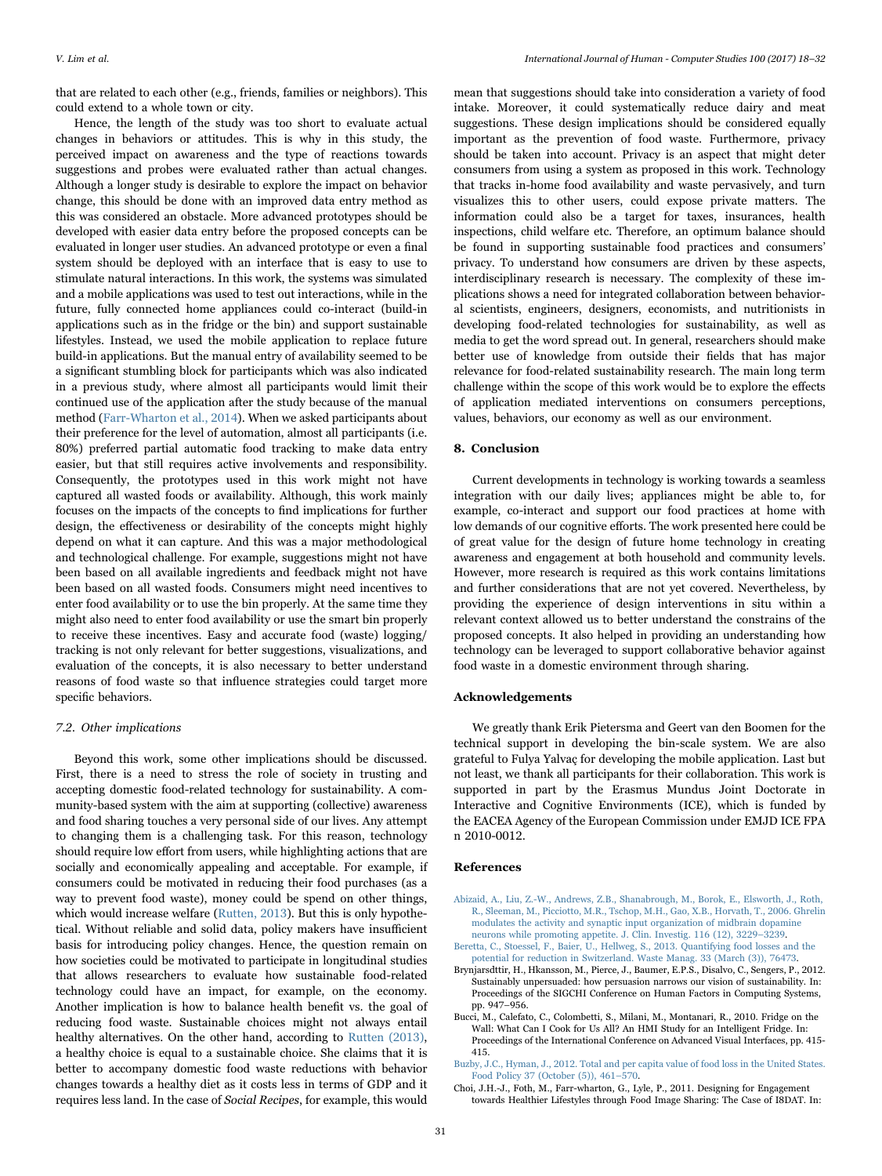that are related to each other (e.g., friends, families or neighbors). This could extend to a whole town or city.

Hence, the length of the study was too short to evaluate actual changes in behaviors or attitudes. This is why in this study, the perceived impact on awareness and the type of reactions towards suggestions and probes were evaluated rather than actual changes. Although a longer study is desirable to explore the impact on behavior change, this should be done with an improved data entry method as this was considered an obstacle. More advanced prototypes should be developed with easier data entry before the proposed concepts can be evaluated in longer user studies. An advanced prototype or even a final system should be deployed with an interface that is easy to use to stimulate natural interactions. In this work, the systems was simulated and a mobile applications was used to test out interactions, while in the future, fully connected home appliances could co-interact (build-in applications such as in the fridge or the bin) and support sustainable lifestyles. Instead, we used the mobile application to replace future build-in applications. But the manual entry of availability seemed to be a significant stumbling block for participants which was also indicated in a previous study, where almost all participants would limit their continued use of the application after the study because of the manual method ([Farr-Wharton et al., 2014](#page-14-36)). When we asked participants about their preference for the level of automation, almost all participants (i.e. 80%) preferred partial automatic food tracking to make data entry easier, but that still requires active involvements and responsibility. Consequently, the prototypes used in this work might not have captured all wasted foods or availability. Although, this work mainly focuses on the impacts of the concepts to find implications for further design, the effectiveness or desirability of the concepts might highly depend on what it can capture. And this was a major methodological and technological challenge. For example, suggestions might not have been based on all available ingredients and feedback might not have been based on all wasted foods. Consumers might need incentives to enter food availability or to use the bin properly. At the same time they might also need to enter food availability or use the smart bin properly to receive these incentives. Easy and accurate food (waste) logging/ tracking is not only relevant for better suggestions, visualizations, and evaluation of the concepts, it is also necessary to better understand reasons of food waste so that influence strategies could target more specific behaviors.

#### 7.2. Other implications

Beyond this work, some other implications should be discussed. First, there is a need to stress the role of society in trusting and accepting domestic food-related technology for sustainability. A community-based system with the aim at supporting (collective) awareness and food sharing touches a very personal side of our lives. Any attempt to changing them is a challenging task. For this reason, technology should require low effort from users, while highlighting actions that are socially and economically appealing and acceptable. For example, if consumers could be motivated in reducing their food purchases (as a way to prevent food waste), money could be spend on other things, which would increase welfare [\(Rutten, 2013\)](#page-14-7). But this is only hypothetical. Without reliable and solid data, policy makers have insufficient basis for introducing policy changes. Hence, the question remain on how societies could be motivated to participate in longitudinal studies that allows researchers to evaluate how sustainable food-related technology could have an impact, for example, on the economy. Another implication is how to balance health benefit vs. the goal of reducing food waste. Sustainable choices might not always entail healthy alternatives. On the other hand, according to [Rutten \(2013\),](#page-14-7) a healthy choice is equal to a sustainable choice. She claims that it is better to accompany domestic food waste reductions with behavior changes towards a healthy diet as it costs less in terms of GDP and it requires less land. In the case of Social Recipes, for example, this would

mean that suggestions should take into consideration a variety of food intake. Moreover, it could systematically reduce dairy and meat suggestions. These design implications should be considered equally important as the prevention of food waste. Furthermore, privacy should be taken into account. Privacy is an aspect that might deter consumers from using a system as proposed in this work. Technology that tracks in-home food availability and waste pervasively, and turn visualizes this to other users, could expose private matters. The information could also be a target for taxes, insurances, health inspections, child welfare etc. Therefore, an optimum balance should be found in supporting sustainable food practices and consumers' privacy. To understand how consumers are driven by these aspects, interdisciplinary research is necessary. The complexity of these implications shows a need for integrated collaboration between behavioral scientists, engineers, designers, economists, and nutritionists in developing food-related technologies for sustainability, as well as media to get the word spread out. In general, researchers should make better use of knowledge from outside their fields that has major relevance for food-related sustainability research. The main long term challenge within the scope of this work would be to explore the effects of application mediated interventions on consumers perceptions, values, behaviors, our economy as well as our environment.

# <span id="page-13-2"></span>8. Conclusion

Current developments in technology is working towards a seamless integration with our daily lives; appliances might be able to, for example, co-interact and support our food practices at home with low demands of our cognitive efforts. The work presented here could be of great value for the design of future home technology in creating awareness and engagement at both household and community levels. However, more research is required as this work contains limitations and further considerations that are not yet covered. Nevertheless, by providing the experience of design interventions in situ within a relevant context allowed us to better understand the constrains of the proposed concepts. It also helped in providing an understanding how technology can be leveraged to support collaborative behavior against food waste in a domestic environment through sharing.

#### Acknowledgements

We greatly thank Erik Pietersma and Geert van den Boomen for the technical support in developing the bin-scale system. We are also grateful to Fulya Yalvaç for developing the mobile application. Last but not least, we thank all participants for their collaboration. This work is supported in part by the Erasmus Mundus Joint Doctorate in Interactive and Cognitive Environments (ICE), which is funded by the EACEA Agency of the European Commission under EMJD ICE FPA n 2010-0012.

#### References

- <span id="page-13-3"></span>[Abizaid, A., Liu, Z.-W., Andrews, Z.B., Shanabrough, M., Borok, E., Elsworth, J., Roth,](http://refhub.elsevier.com/S1071-16)30173-sbref1) [R., Sleeman, M., Picciotto, M.R., Tschop, M.H., Gao, X.B., Horvath, T., 2006. Ghrelin](http://refhub.elsevier.com/S1071-16)30173-sbref1) [modulates the activity and synaptic input organization of midbrain dopamine](http://refhub.elsevier.com/S1071-16)30173-sbref1)
- <span id="page-13-6"></span>[neurons while promoting appetite. J. Clin. Investig. 116 \(12\), 3229](http://refhub.elsevier.com/S1071-16)30173-sbref1)–3239. [Beretta, C., Stoessel, F., Baier, U., Hellweg, S., 2013. Quantifying food losses and the](http://refhub.elsevier.com/S1071-16)30173-sbref2) [potential for reduction in Switzerland. Waste Manag. 33 \(March \(3\)\), 76473.](http://refhub.elsevier.com/S1071-16)30173-sbref2)
- <span id="page-13-1"></span>Brynjarsdttir, H., Hkansson, M., Pierce, J., Baumer, E.P.S., Disalvo, C., Sengers, P., 2012. Sustainably unpersuaded: how persuasion narrows our vision of sustainability. In: Proceedings of the SIGCHI Conference on Human Factors in Computing Systems, pp. 947–956.
- <span id="page-13-4"></span>Bucci, M., Calefato, C., Colombetti, S., Milani, M., Montanari, R., 2010. Fridge on the Wall: What Can I Cook for Us All? An HMI Study for an Intelligent Fridge. In: Proceedings of the International Conference on Advanced Visual Interfaces, pp. 415- 415.
- <span id="page-13-0"></span>[Buzby, J.C., Hyman, J., 2012. Total and per capita value of food loss in the United States.](http://refhub.elsevier.com/S1071-16)30173-sbref3) [Food Policy 37 \(October \(5\)\), 461](http://refhub.elsevier.com/S1071-16)30173-sbref3)–570.
- <span id="page-13-5"></span>Choi, J.H.-J., Foth, M., Farr-wharton, G., Lyle, P., 2011. Designing for Engagement towards Healthier Lifestyles through Food Image Sharing: The Case of I8DAT. In: